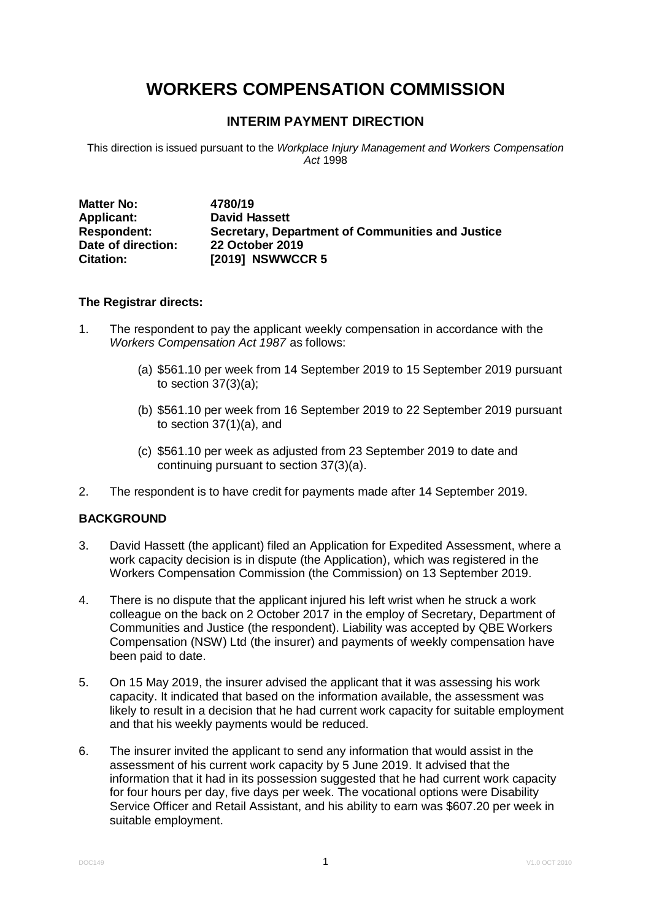# **WORKERS COMPENSATION COMMISSION**

# **INTERIM PAYMENT DIRECTION**

This direction is issued pursuant to the *Workplace Injury Management and Workers Compensation Act* 1998

| <b>Matter No:</b>  | 4780/19                                          |
|--------------------|--------------------------------------------------|
| <b>Applicant:</b>  | <b>David Hassett</b>                             |
| <b>Respondent:</b> | Secretary, Department of Communities and Justice |
| Date of direction: | <b>22 October 2019</b>                           |
| <b>Citation:</b>   | [2019] NSWWCCR 5                                 |

## **The Registrar directs:**

- 1. The respondent to pay the applicant weekly compensation in accordance with the *Workers Compensation Act 1987* as follows:
	- (a) \$561.10 per week from 14 September 2019 to 15 September 2019 pursuant to section 37(3)(a);
	- (b) \$561.10 per week from 16 September 2019 to 22 September 2019 pursuant to section 37(1)(a), and
	- (c) \$561.10 per week as adjusted from 23 September 2019 to date and continuing pursuant to section 37(3)(a).
- 2. The respondent is to have credit for payments made after 14 September 2019.

# **BACKGROUND**

- 3. David Hassett (the applicant) filed an Application for Expedited Assessment, where a work capacity decision is in dispute (the Application), which was registered in the Workers Compensation Commission (the Commission) on 13 September 2019.
- 4. There is no dispute that the applicant injured his left wrist when he struck a work colleague on the back on 2 October 2017 in the employ of Secretary, Department of Communities and Justice (the respondent). Liability was accepted by QBE Workers Compensation (NSW) Ltd (the insurer) and payments of weekly compensation have been paid to date.
- 5. On 15 May 2019, the insurer advised the applicant that it was assessing his work capacity. It indicated that based on the information available, the assessment was likely to result in a decision that he had current work capacity for suitable employment and that his weekly payments would be reduced.
- 6. The insurer invited the applicant to send any information that would assist in the assessment of his current work capacity by 5 June 2019. It advised that the information that it had in its possession suggested that he had current work capacity for four hours per day, five days per week. The vocational options were Disability Service Officer and Retail Assistant, and his ability to earn was \$607.20 per week in suitable employment.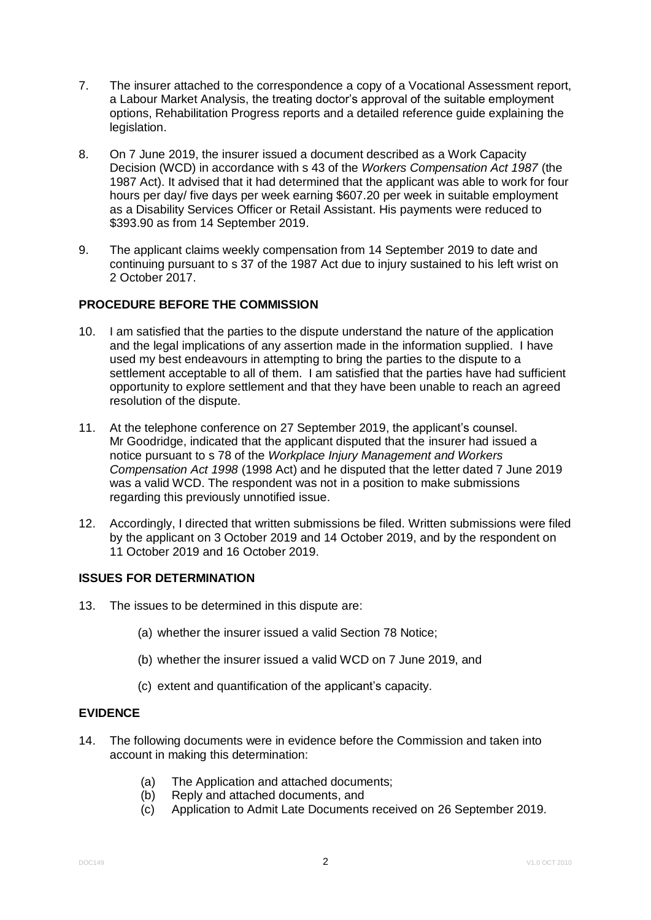- 7. The insurer attached to the correspondence a copy of a Vocational Assessment report, a Labour Market Analysis, the treating doctor's approval of the suitable employment options, Rehabilitation Progress reports and a detailed reference guide explaining the legislation.
- 8. On 7 June 2019, the insurer issued a document described as a Work Capacity Decision (WCD) in accordance with s 43 of the *Workers Compensation Act 1987* (the 1987 Act). It advised that it had determined that the applicant was able to work for four hours per day/ five days per week earning \$607.20 per week in suitable employment as a Disability Services Officer or Retail Assistant. His payments were reduced to \$393.90 as from 14 September 2019.
- 9. The applicant claims weekly compensation from 14 September 2019 to date and continuing pursuant to s 37 of the 1987 Act due to injury sustained to his left wrist on 2 October 2017.

# **PROCEDURE BEFORE THE COMMISSION**

- 10. I am satisfied that the parties to the dispute understand the nature of the application and the legal implications of any assertion made in the information supplied. I have used my best endeavours in attempting to bring the parties to the dispute to a settlement acceptable to all of them. I am satisfied that the parties have had sufficient opportunity to explore settlement and that they have been unable to reach an agreed resolution of the dispute.
- 11. At the telephone conference on 27 September 2019, the applicant's counsel. Mr Goodridge, indicated that the applicant disputed that the insurer had issued a notice pursuant to s 78 of the *Workplace Injury Management and Workers Compensation Act 1998* (1998 Act) and he disputed that the letter dated 7 June 2019 was a valid WCD. The respondent was not in a position to make submissions regarding this previously unnotified issue.
- 12. Accordingly, I directed that written submissions be filed. Written submissions were filed by the applicant on 3 October 2019 and 14 October 2019, and by the respondent on 11 October 2019 and 16 October 2019.

# **ISSUES FOR DETERMINATION**

- 13. The issues to be determined in this dispute are:
	- (a) whether the insurer issued a valid Section 78 Notice;
	- (b) whether the insurer issued a valid WCD on 7 June 2019, and
	- (c) extent and quantification of the applicant's capacity.

## **EVIDENCE**

- 14. The following documents were in evidence before the Commission and taken into account in making this determination:
	- (a) The Application and attached documents;
	- (b) Reply and attached documents, and
	- (c) Application to Admit Late Documents received on 26 September 2019.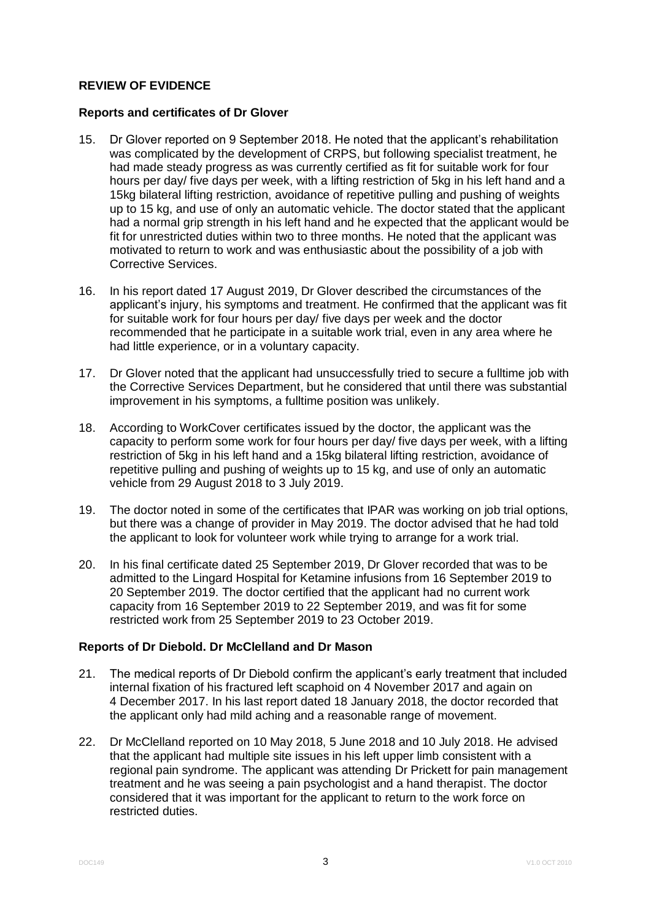# **REVIEW OF EVIDENCE**

#### **Reports and certificates of Dr Glover**

- 15. Dr Glover reported on 9 September 2018. He noted that the applicant's rehabilitation was complicated by the development of CRPS, but following specialist treatment, he had made steady progress as was currently certified as fit for suitable work for four hours per day/ five days per week, with a lifting restriction of 5kg in his left hand and a 15kg bilateral lifting restriction, avoidance of repetitive pulling and pushing of weights up to 15 kg, and use of only an automatic vehicle. The doctor stated that the applicant had a normal grip strength in his left hand and he expected that the applicant would be fit for unrestricted duties within two to three months. He noted that the applicant was motivated to return to work and was enthusiastic about the possibility of a job with Corrective Services.
- 16. In his report dated 17 August 2019, Dr Glover described the circumstances of the applicant's injury, his symptoms and treatment. He confirmed that the applicant was fit for suitable work for four hours per day/ five days per week and the doctor recommended that he participate in a suitable work trial, even in any area where he had little experience, or in a voluntary capacity.
- 17. Dr Glover noted that the applicant had unsuccessfully tried to secure a fulltime job with the Corrective Services Department, but he considered that until there was substantial improvement in his symptoms, a fulltime position was unlikely.
- 18. According to WorkCover certificates issued by the doctor, the applicant was the capacity to perform some work for four hours per day/ five days per week, with a lifting restriction of 5kg in his left hand and a 15kg bilateral lifting restriction, avoidance of repetitive pulling and pushing of weights up to 15 kg, and use of only an automatic vehicle from 29 August 2018 to 3 July 2019.
- 19. The doctor noted in some of the certificates that IPAR was working on job trial options, but there was a change of provider in May 2019. The doctor advised that he had told the applicant to look for volunteer work while trying to arrange for a work trial.
- 20. In his final certificate dated 25 September 2019, Dr Glover recorded that was to be admitted to the Lingard Hospital for Ketamine infusions from 16 September 2019 to 20 September 2019. The doctor certified that the applicant had no current work capacity from 16 September 2019 to 22 September 2019, and was fit for some restricted work from 25 September 2019 to 23 October 2019.

# **Reports of Dr Diebold. Dr McClelland and Dr Mason**

- 21. The medical reports of Dr Diebold confirm the applicant's early treatment that included internal fixation of his fractured left scaphoid on 4 November 2017 and again on 4 December 2017. In his last report dated 18 January 2018, the doctor recorded that the applicant only had mild aching and a reasonable range of movement.
- 22. Dr McClelland reported on 10 May 2018, 5 June 2018 and 10 July 2018. He advised that the applicant had multiple site issues in his left upper limb consistent with a regional pain syndrome. The applicant was attending Dr Prickett for pain management treatment and he was seeing a pain psychologist and a hand therapist. The doctor considered that it was important for the applicant to return to the work force on restricted duties.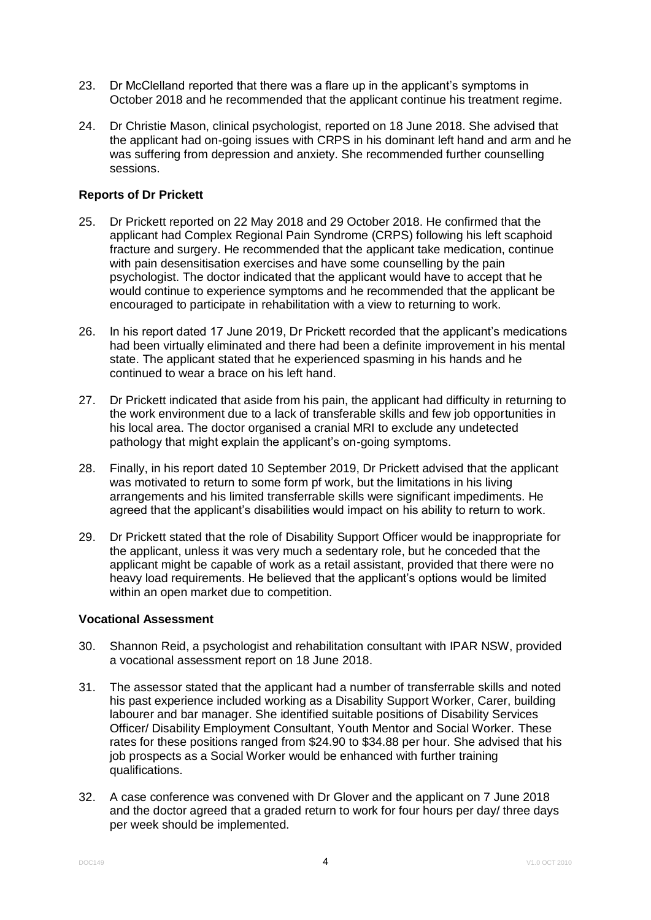- 23. Dr McClelland reported that there was a flare up in the applicant's symptoms in October 2018 and he recommended that the applicant continue his treatment regime.
- 24. Dr Christie Mason, clinical psychologist, reported on 18 June 2018. She advised that the applicant had on-going issues with CRPS in his dominant left hand and arm and he was suffering from depression and anxiety. She recommended further counselling sessions.

## **Reports of Dr Prickett**

- 25. Dr Prickett reported on 22 May 2018 and 29 October 2018. He confirmed that the applicant had Complex Regional Pain Syndrome (CRPS) following his left scaphoid fracture and surgery. He recommended that the applicant take medication, continue with pain desensitisation exercises and have some counselling by the pain psychologist. The doctor indicated that the applicant would have to accept that he would continue to experience symptoms and he recommended that the applicant be encouraged to participate in rehabilitation with a view to returning to work.
- 26. In his report dated 17 June 2019, Dr Prickett recorded that the applicant's medications had been virtually eliminated and there had been a definite improvement in his mental state. The applicant stated that he experienced spasming in his hands and he continued to wear a brace on his left hand.
- 27. Dr Prickett indicated that aside from his pain, the applicant had difficulty in returning to the work environment due to a lack of transferable skills and few job opportunities in his local area. The doctor organised a cranial MRI to exclude any undetected pathology that might explain the applicant's on-going symptoms.
- 28. Finally, in his report dated 10 September 2019, Dr Prickett advised that the applicant was motivated to return to some form pf work, but the limitations in his living arrangements and his limited transferrable skills were significant impediments. He agreed that the applicant's disabilities would impact on his ability to return to work.
- 29. Dr Prickett stated that the role of Disability Support Officer would be inappropriate for the applicant, unless it was very much a sedentary role, but he conceded that the applicant might be capable of work as a retail assistant, provided that there were no heavy load requirements. He believed that the applicant's options would be limited within an open market due to competition.

## **Vocational Assessment**

- 30. Shannon Reid, a psychologist and rehabilitation consultant with IPAR NSW, provided a vocational assessment report on 18 June 2018.
- 31. The assessor stated that the applicant had a number of transferrable skills and noted his past experience included working as a Disability Support Worker, Carer, building labourer and bar manager. She identified suitable positions of Disability Services Officer/ Disability Employment Consultant, Youth Mentor and Social Worker. These rates for these positions ranged from \$24.90 to \$34.88 per hour. She advised that his job prospects as a Social Worker would be enhanced with further training qualifications.
- 32. A case conference was convened with Dr Glover and the applicant on 7 June 2018 and the doctor agreed that a graded return to work for four hours per day/ three days per week should be implemented.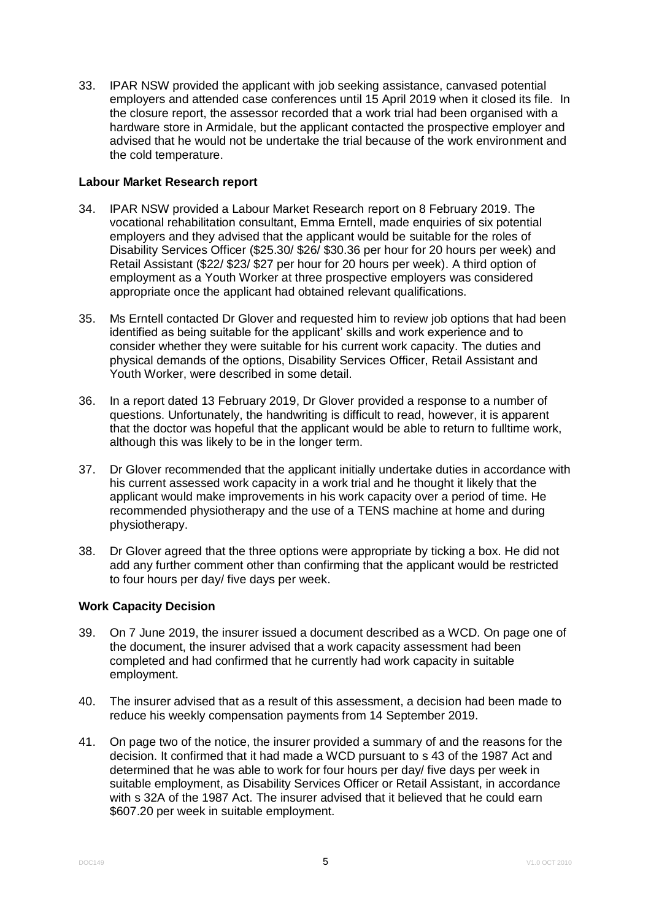33. IPAR NSW provided the applicant with job seeking assistance, canvased potential employers and attended case conferences until 15 April 2019 when it closed its file. In the closure report, the assessor recorded that a work trial had been organised with a hardware store in Armidale, but the applicant contacted the prospective employer and advised that he would not be undertake the trial because of the work environment and the cold temperature.

## **Labour Market Research report**

- 34. IPAR NSW provided a Labour Market Research report on 8 February 2019. The vocational rehabilitation consultant, Emma Erntell, made enquiries of six potential employers and they advised that the applicant would be suitable for the roles of Disability Services Officer (\$25.30/ \$26/ \$30.36 per hour for 20 hours per week) and Retail Assistant (\$22/ \$23/ \$27 per hour for 20 hours per week). A third option of employment as a Youth Worker at three prospective employers was considered appropriate once the applicant had obtained relevant qualifications.
- 35. Ms Erntell contacted Dr Glover and requested him to review job options that had been identified as being suitable for the applicant' skills and work experience and to consider whether they were suitable for his current work capacity. The duties and physical demands of the options, Disability Services Officer, Retail Assistant and Youth Worker, were described in some detail.
- 36. In a report dated 13 February 2019, Dr Glover provided a response to a number of questions. Unfortunately, the handwriting is difficult to read, however, it is apparent that the doctor was hopeful that the applicant would be able to return to fulltime work, although this was likely to be in the longer term.
- 37. Dr Glover recommended that the applicant initially undertake duties in accordance with his current assessed work capacity in a work trial and he thought it likely that the applicant would make improvements in his work capacity over a period of time. He recommended physiotherapy and the use of a TENS machine at home and during physiotherapy.
- 38. Dr Glover agreed that the three options were appropriate by ticking a box. He did not add any further comment other than confirming that the applicant would be restricted to four hours per day/ five days per week.

# **Work Capacity Decision**

- 39. On 7 June 2019, the insurer issued a document described as a WCD. On page one of the document, the insurer advised that a work capacity assessment had been completed and had confirmed that he currently had work capacity in suitable employment.
- 40. The insurer advised that as a result of this assessment, a decision had been made to reduce his weekly compensation payments from 14 September 2019.
- 41. On page two of the notice, the insurer provided a summary of and the reasons for the decision. It confirmed that it had made a WCD pursuant to s 43 of the 1987 Act and determined that he was able to work for four hours per day/ five days per week in suitable employment, as Disability Services Officer or Retail Assistant, in accordance with s 32A of the 1987 Act. The insurer advised that it believed that he could earn \$607.20 per week in suitable employment.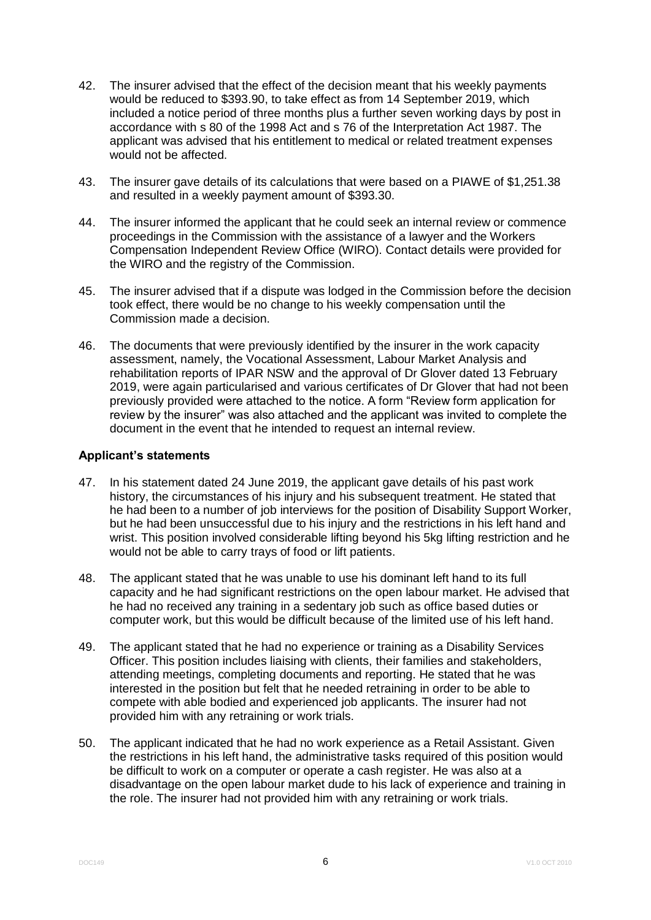- 42. The insurer advised that the effect of the decision meant that his weekly payments would be reduced to \$393.90, to take effect as from 14 September 2019, which included a notice period of three months plus a further seven working days by post in accordance with s 80 of the 1998 Act and s 76 of the Interpretation Act 1987. The applicant was advised that his entitlement to medical or related treatment expenses would not be affected.
- 43. The insurer gave details of its calculations that were based on a PIAWE of \$1,251.38 and resulted in a weekly payment amount of \$393.30.
- 44. The insurer informed the applicant that he could seek an internal review or commence proceedings in the Commission with the assistance of a lawyer and the Workers Compensation Independent Review Office (WIRO). Contact details were provided for the WIRO and the registry of the Commission.
- 45. The insurer advised that if a dispute was lodged in the Commission before the decision took effect, there would be no change to his weekly compensation until the Commission made a decision.
- 46. The documents that were previously identified by the insurer in the work capacity assessment, namely, the Vocational Assessment, Labour Market Analysis and rehabilitation reports of IPAR NSW and the approval of Dr Glover dated 13 February 2019, were again particularised and various certificates of Dr Glover that had not been previously provided were attached to the notice. A form "Review form application for review by the insurer" was also attached and the applicant was invited to complete the document in the event that he intended to request an internal review.

#### **Applicant's statements**

- 47. In his statement dated 24 June 2019, the applicant gave details of his past work history, the circumstances of his injury and his subsequent treatment. He stated that he had been to a number of job interviews for the position of Disability Support Worker, but he had been unsuccessful due to his injury and the restrictions in his left hand and wrist. This position involved considerable lifting beyond his 5kg lifting restriction and he would not be able to carry trays of food or lift patients.
- 48. The applicant stated that he was unable to use his dominant left hand to its full capacity and he had significant restrictions on the open labour market. He advised that he had no received any training in a sedentary job such as office based duties or computer work, but this would be difficult because of the limited use of his left hand.
- 49. The applicant stated that he had no experience or training as a Disability Services Officer. This position includes liaising with clients, their families and stakeholders, attending meetings, completing documents and reporting. He stated that he was interested in the position but felt that he needed retraining in order to be able to compete with able bodied and experienced job applicants. The insurer had not provided him with any retraining or work trials.
- 50. The applicant indicated that he had no work experience as a Retail Assistant. Given the restrictions in his left hand, the administrative tasks required of this position would be difficult to work on a computer or operate a cash register. He was also at a disadvantage on the open labour market dude to his lack of experience and training in the role. The insurer had not provided him with any retraining or work trials.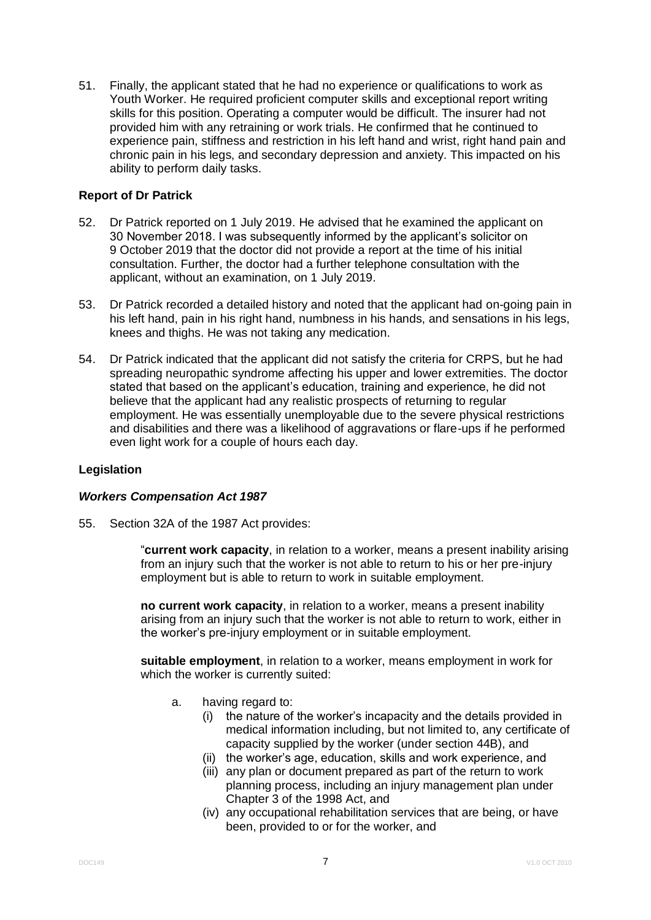51. Finally, the applicant stated that he had no experience or qualifications to work as Youth Worker. He required proficient computer skills and exceptional report writing skills for this position. Operating a computer would be difficult. The insurer had not provided him with any retraining or work trials. He confirmed that he continued to experience pain, stiffness and restriction in his left hand and wrist, right hand pain and chronic pain in his legs, and secondary depression and anxiety. This impacted on his ability to perform daily tasks.

# **Report of Dr Patrick**

- 52. Dr Patrick reported on 1 July 2019. He advised that he examined the applicant on 30 November 2018. I was subsequently informed by the applicant's solicitor on 9 October 2019 that the doctor did not provide a report at the time of his initial consultation. Further, the doctor had a further telephone consultation with the applicant, without an examination, on 1 July 2019.
- 53. Dr Patrick recorded a detailed history and noted that the applicant had on-going pain in his left hand, pain in his right hand, numbness in his hands, and sensations in his legs, knees and thighs. He was not taking any medication.
- 54. Dr Patrick indicated that the applicant did not satisfy the criteria for CRPS, but he had spreading neuropathic syndrome affecting his upper and lower extremities. The doctor stated that based on the applicant's education, training and experience, he did not believe that the applicant had any realistic prospects of returning to regular employment. He was essentially unemployable due to the severe physical restrictions and disabilities and there was a likelihood of aggravations or flare-ups if he performed even light work for a couple of hours each day.

# **Legislation**

#### *Workers Compensation Act 1987*

55. Section 32A of the 1987 Act provides:

"**current work capacity**, in relation to a worker, means a present inability arising from an injury such that the worker is not able to return to his or her pre-injury employment but is able to return to work in suitable employment.

**no current work capacity**, in relation to a worker, means a present inability arising from an injury such that the worker is not able to return to work, either in the worker's pre-injury employment or in suitable employment.

**suitable employment**, in relation to a worker, means employment in work for which the worker is currently suited:

- a. having regard to:
	- (i) the nature of the worker's incapacity and the details provided in medical information including, but not limited to, any certificate of capacity supplied by the worker (under section 44B), and
	- (ii) the worker's age, education, skills and work experience, and
	- (iii) any plan or document prepared as part of the return to work planning process, including an injury management plan under Chapter 3 of the 1998 Act, and
	- (iv) any occupational rehabilitation services that are being, or have been, provided to or for the worker, and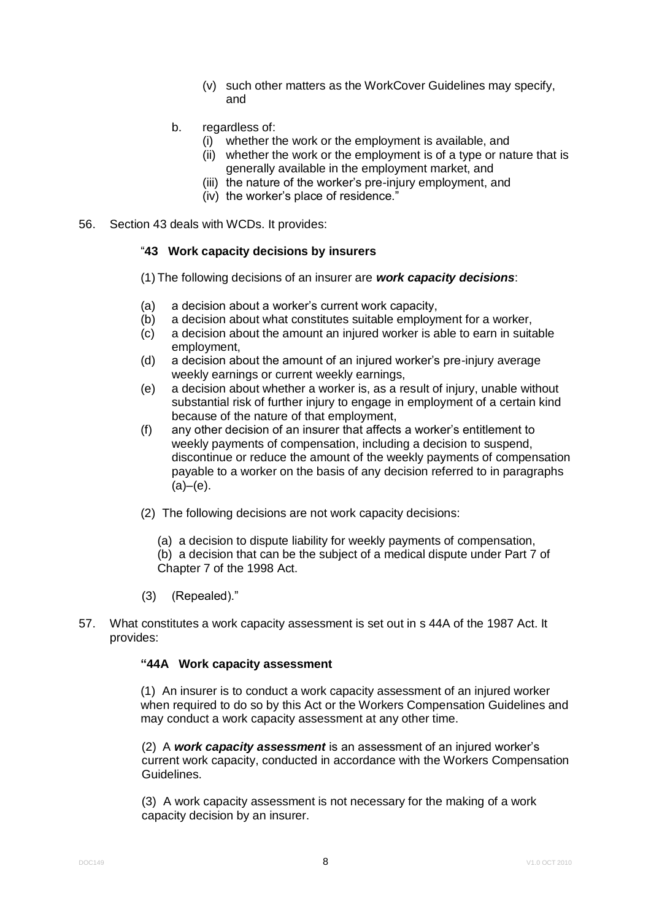- (v) such other matters as the WorkCover Guidelines may specify, and
- b. regardless of:
	- (i) whether the work or the employment is available, and
	- (ii) whether the work or the employment is of a type or nature that is generally available in the employment market, and
	- (iii) the nature of the worker's pre-injury employment, and
	- (iv) the worker's place of residence."
- 56. Section 43 deals with WCDs. It provides:

#### "**43 Work capacity decisions by insurers**

- (1) The following decisions of an insurer are *work capacity decisions*:
- (a) a decision about a worker's current work capacity,
- (b) a decision about what constitutes suitable employment for a worker,
- (c) a decision about the amount an injured worker is able to earn in suitable employment,
- (d) a decision about the amount of an injured worker's pre-injury average weekly earnings or current weekly earnings,
- (e) a decision about whether a worker is, as a result of injury, unable without substantial risk of further injury to engage in employment of a certain kind because of the nature of that employment,
- (f) any other decision of an insurer that affects a worker's entitlement to weekly payments of compensation, including a decision to suspend, discontinue or reduce the amount of the weekly payments of compensation payable to a worker on the basis of any decision referred to in paragraphs  $(a)–(e)$ .
- (2) The following decisions are not work capacity decisions:
	- (a) a decision to dispute liability for weekly payments of compensation,

(b) a decision that can be the subject of a medical dispute under Part 7 of Chapter 7 of the 1998 Act.

- (3) (Repealed)."
- 57. What constitutes a work capacity assessment is set out in s 44A of the 1987 Act. It provides:

#### **"44A Work capacity assessment**

(1) An insurer is to conduct a work capacity assessment of an injured worker when required to do so by this Act or the Workers Compensation Guidelines and may conduct a work capacity assessment at any other time.

(2) A *work capacity assessment* is an assessment of an injured worker's current work capacity, conducted in accordance with the Workers Compensation Guidelines.

(3) A work capacity assessment is not necessary for the making of a work capacity decision by an insurer.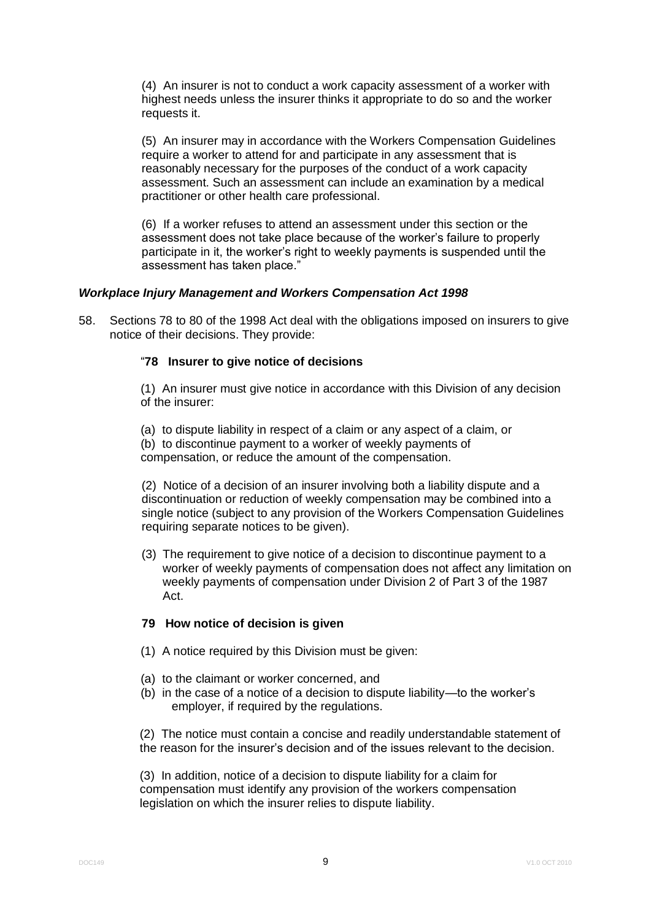(4) An insurer is not to conduct a work capacity assessment of a worker with highest needs unless the insurer thinks it appropriate to do so and the worker requests it.

(5) An insurer may in accordance with the Workers Compensation Guidelines require a worker to attend for and participate in any assessment that is reasonably necessary for the purposes of the conduct of a work capacity assessment. Such an assessment can include an examination by a medical practitioner or other health care professional.

(6) If a worker refuses to attend an assessment under this section or the assessment does not take place because of the worker's failure to properly participate in it, the worker's right to weekly payments is suspended until the assessment has taken place."

## *Workplace Injury Management and Workers Compensation Act 1998*

58. Sections 78 to 80 of the 1998 Act deal with the obligations imposed on insurers to give notice of their decisions. They provide:

## "**78 Insurer to give notice of decisions**

(1) An insurer must give notice in accordance with this Division of any decision of the insurer:

(a) to dispute liability in respect of a claim or any aspect of a claim, or (b) to discontinue payment to a worker of weekly payments of compensation, or reduce the amount of the compensation.

(2) Notice of a decision of an insurer involving both a liability dispute and a discontinuation or reduction of weekly compensation may be combined into a single notice (subject to any provision of the Workers Compensation Guidelines requiring separate notices to be given).

(3) The requirement to give notice of a decision to discontinue payment to a worker of weekly payments of compensation does not affect any limitation on weekly payments of compensation under Division 2 of Part 3 of the 1987 Act.

#### **79 How notice of decision is given**

- (1) A notice required by this Division must be given:
- (a) to the claimant or worker concerned, and
- (b) in the case of a notice of a decision to dispute liability—to the worker's employer, if required by the regulations.

(2) The notice must contain a concise and readily understandable statement of the reason for the insurer's decision and of the issues relevant to the decision.

(3) In addition, notice of a decision to dispute liability for a claim for compensation must identify any provision of the workers compensation legislation on which the insurer relies to dispute liability.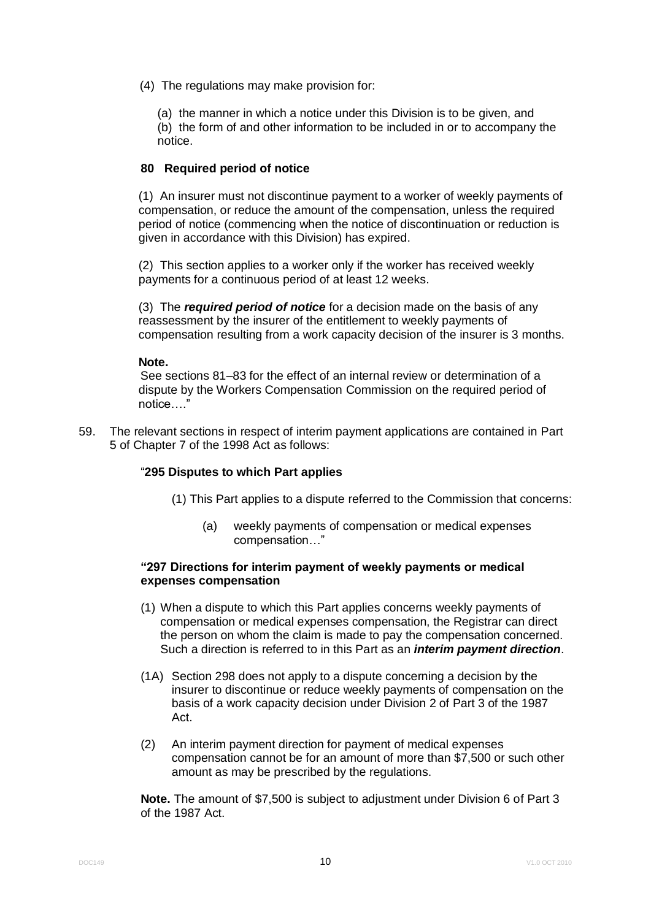(4) The regulations may make provision for:

(a) the manner in which a notice under this Division is to be given, and (b) the form of and other information to be included in or to accompany the notice.

## **80 Required period of notice**

(1) An insurer must not discontinue payment to a worker of weekly payments of compensation, or reduce the amount of the compensation, unless the required period of notice (commencing when the notice of discontinuation or reduction is given in accordance with this Division) has expired.

(2) This section applies to a worker only if the worker has received weekly payments for a continuous period of at least 12 weeks.

(3) The *required period of notice* for a decision made on the basis of any reassessment by the insurer of the entitlement to weekly payments of compensation resulting from a work capacity decision of the insurer is 3 months.

#### **Note.**

See sections 81–83 for the effect of an internal review or determination of a dispute by the Workers Compensation Commission on the required period of notice….'

59. The relevant sections in respect of interim payment applications are contained in Part 5 of Chapter 7 of the 1998 Act as follows:

#### "**295 Disputes to which Part applies**

- (1) This Part applies to a dispute referred to the Commission that concerns:
	- (a) weekly payments of compensation or medical expenses compensation…"

## **"297 Directions for interim payment of weekly payments or medical expenses compensation**

- (1) When a dispute to which this Part applies concerns weekly payments of compensation or medical expenses compensation, the Registrar can direct the person on whom the claim is made to pay the compensation concerned. Such a direction is referred to in this Part as an *interim payment direction*.
- (1A) Section 298 does not apply to a dispute concerning a decision by the insurer to discontinue or reduce weekly payments of compensation on the basis of a work capacity decision under Division 2 of Part 3 of the 1987 Act.
- (2) An interim payment direction for payment of medical expenses compensation cannot be for an amount of more than \$7,500 or such other amount as may be prescribed by the regulations.

**Note.** The amount of \$7,500 is subject to adjustment under Division 6 of Part 3 of the 1987 Act.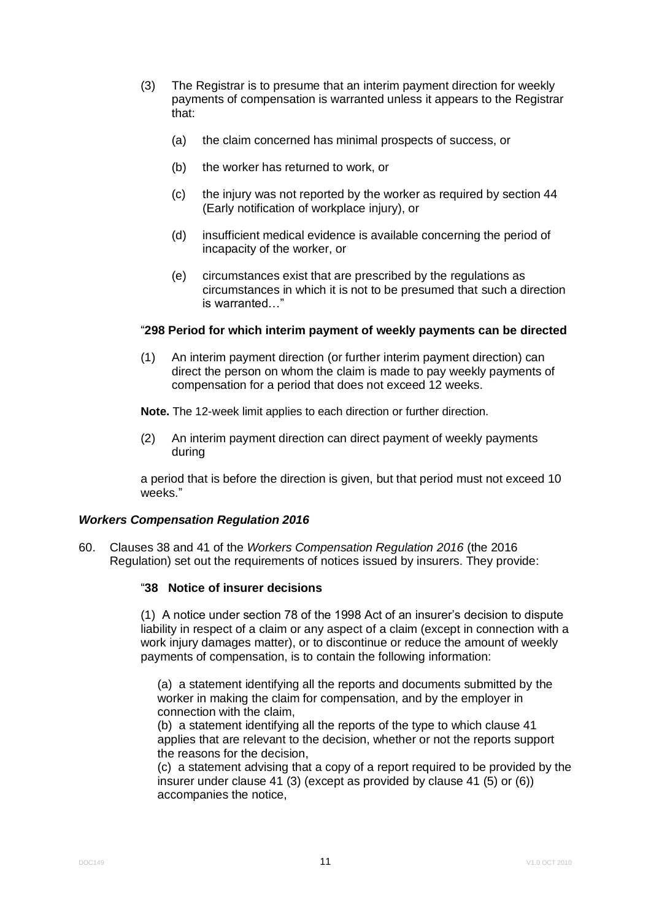- (3) The Registrar is to presume that an interim payment direction for weekly payments of compensation is warranted unless it appears to the Registrar that:
	- (a) the claim concerned has minimal prospects of success, or
	- (b) the worker has returned to work, or
	- (c) the injury was not reported by the worker as required by section 44 (Early notification of workplace injury), or
	- (d) insufficient medical evidence is available concerning the period of incapacity of the worker, or
	- (e) circumstances exist that are prescribed by the regulations as circumstances in which it is not to be presumed that such a direction is warranted…"

## "**298 Period for which interim payment of weekly payments can be directed**

(1) An interim payment direction (or further interim payment direction) can direct the person on whom the claim is made to pay weekly payments of compensation for a period that does not exceed 12 weeks.

**Note.** The 12-week limit applies to each direction or further direction.

(2) An interim payment direction can direct payment of weekly payments during

a period that is before the direction is given, but that period must not exceed 10 weeks."

#### *Workers Compensation Regulation 2016*

60. Clauses 38 and 41 of the *Workers Compensation Regulation 2016* (the 2016 Regulation) set out the requirements of notices issued by insurers. They provide:

# "**38 Notice of insurer decisions**

(1) A notice under section 78 of the 1998 Act of an insurer's decision to dispute liability in respect of a claim or any aspect of a claim (except in connection with a work injury damages matter), or to discontinue or reduce the amount of weekly payments of compensation, is to contain the following information:

(a) a statement identifying all the reports and documents submitted by the worker in making the claim for compensation, and by the employer in connection with the claim,

(b) a statement identifying all the reports of the type to which clause 41 applies that are relevant to the decision, whether or not the reports support the reasons for the decision,

(c) a statement advising that a copy of a report required to be provided by the insurer under clause 41 (3) (except as provided by clause 41 (5) or (6)) accompanies the notice,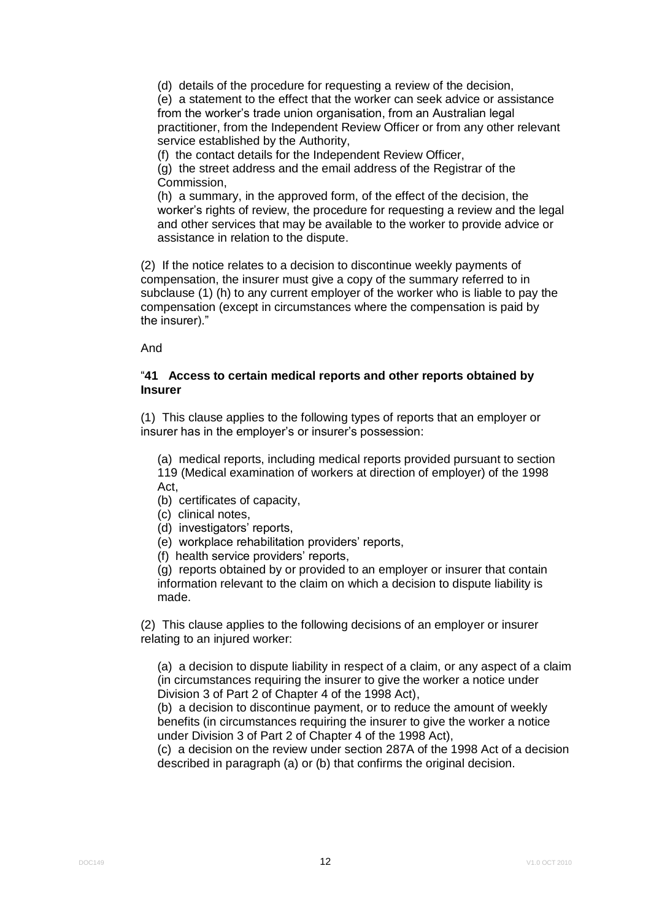(d) details of the procedure for requesting a review of the decision,

(e) a statement to the effect that the worker can seek advice or assistance from the worker's trade union organisation, from an Australian legal practitioner, from the Independent Review Officer or from any other relevant service established by the Authority,

(f) the contact details for the Independent Review Officer,

(g) the street address and the email address of the Registrar of the Commission,

(h) a summary, in the approved form, of the effect of the decision, the worker's rights of review, the procedure for requesting a review and the legal and other services that may be available to the worker to provide advice or assistance in relation to the dispute.

(2) If the notice relates to a decision to discontinue weekly payments of compensation, the insurer must give a copy of the summary referred to in subclause (1) (h) to any current employer of the worker who is liable to pay the compensation (except in circumstances where the compensation is paid by the insurer)."

And

## "**41 Access to certain medical reports and other reports obtained by Insurer**

(1) This clause applies to the following types of reports that an employer or insurer has in the employer's or insurer's possession:

(a) medical reports, including medical reports provided pursuant to section 119 (Medical examination of workers at direction of employer) of the 1998 Act,

- (b) certificates of capacity,
- (c) clinical notes,
- (d) investigators' reports,
- (e) workplace rehabilitation providers' reports,
- (f) health service providers' reports,

(g) reports obtained by or provided to an employer or insurer that contain information relevant to the claim on which a decision to dispute liability is made.

(2) This clause applies to the following decisions of an employer or insurer relating to an injured worker:

(a) a decision to dispute liability in respect of a claim, or any aspect of a claim (in circumstances requiring the insurer to give the worker a notice under Division 3 of Part 2 of Chapter 4 of the 1998 Act),

(b) a decision to discontinue payment, or to reduce the amount of weekly benefits (in circumstances requiring the insurer to give the worker a notice under Division 3 of Part 2 of Chapter 4 of the 1998 Act),

(c) a decision on the review under section 287A of the 1998 Act of a decision described in paragraph (a) or (b) that confirms the original decision.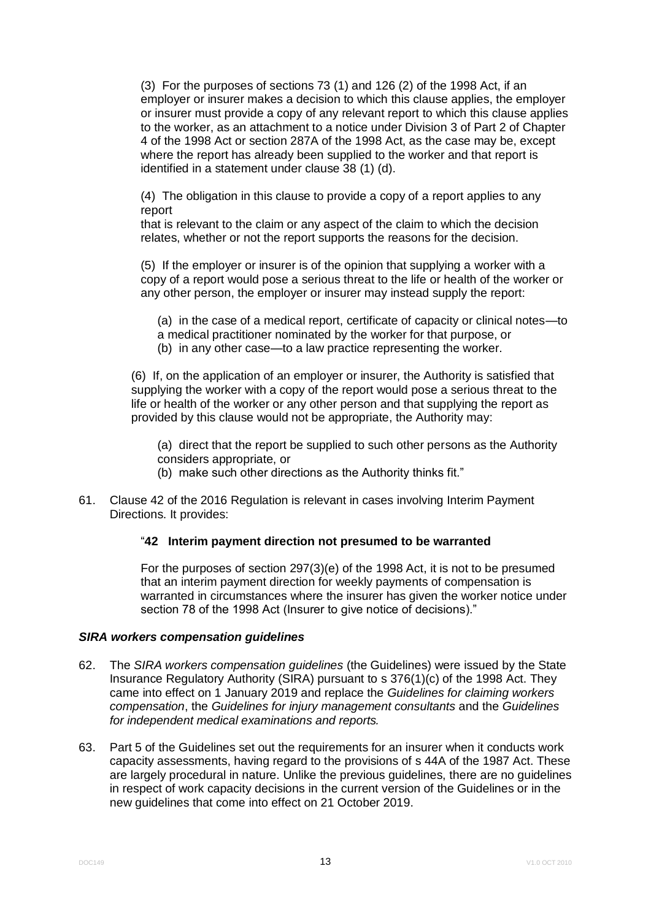(3) For the purposes of sections 73 (1) and 126 (2) of the 1998 Act, if an employer or insurer makes a decision to which this clause applies, the employer or insurer must provide a copy of any relevant report to which this clause applies to the worker, as an attachment to a notice under Division 3 of Part 2 of Chapter 4 of the 1998 Act or section 287A of the 1998 Act, as the case may be, except where the report has already been supplied to the worker and that report is identified in a statement under clause 38 (1) (d).

(4) The obligation in this clause to provide a copy of a report applies to any report

that is relevant to the claim or any aspect of the claim to which the decision relates, whether or not the report supports the reasons for the decision.

(5) If the employer or insurer is of the opinion that supplying a worker with a copy of a report would pose a serious threat to the life or health of the worker or any other person, the employer or insurer may instead supply the report:

(a) in the case of a medical report, certificate of capacity or clinical notes—to a medical practitioner nominated by the worker for that purpose, or (b) in any other case—to a law practice representing the worker.

(6) If, on the application of an employer or insurer, the Authority is satisfied that supplying the worker with a copy of the report would pose a serious threat to the life or health of the worker or any other person and that supplying the report as provided by this clause would not be appropriate, the Authority may:

(a) direct that the report be supplied to such other persons as the Authority considers appropriate, or

(b) make such other directions as the Authority thinks fit."

61. Clause 42 of the 2016 Regulation is relevant in cases involving Interim Payment Directions. It provides:

# "**42 Interim payment direction not presumed to be warranted**

For the purposes of section 297(3)(e) of the 1998 Act, it is not to be presumed that an interim payment direction for weekly payments of compensation is warranted in circumstances where the insurer has given the worker notice under section 78 of the 1998 Act (Insurer to give notice of decisions)."

#### *SIRA workers compensation guidelines*

- 62. The *SIRA workers compensation guidelines* (the Guidelines) were issued by the State Insurance Regulatory Authority (SIRA) pursuant to s 376(1)(c) of the 1998 Act. They came into effect on 1 January 2019 and replace the *Guidelines for claiming workers compensation*, the *Guidelines for injury management consultants* and the *Guidelines for independent medical examinations and reports.*
- 63. Part 5 of the Guidelines set out the requirements for an insurer when it conducts work capacity assessments, having regard to the provisions of s 44A of the 1987 Act. These are largely procedural in nature. Unlike the previous guidelines, there are no guidelines in respect of work capacity decisions in the current version of the Guidelines or in the new guidelines that come into effect on 21 October 2019.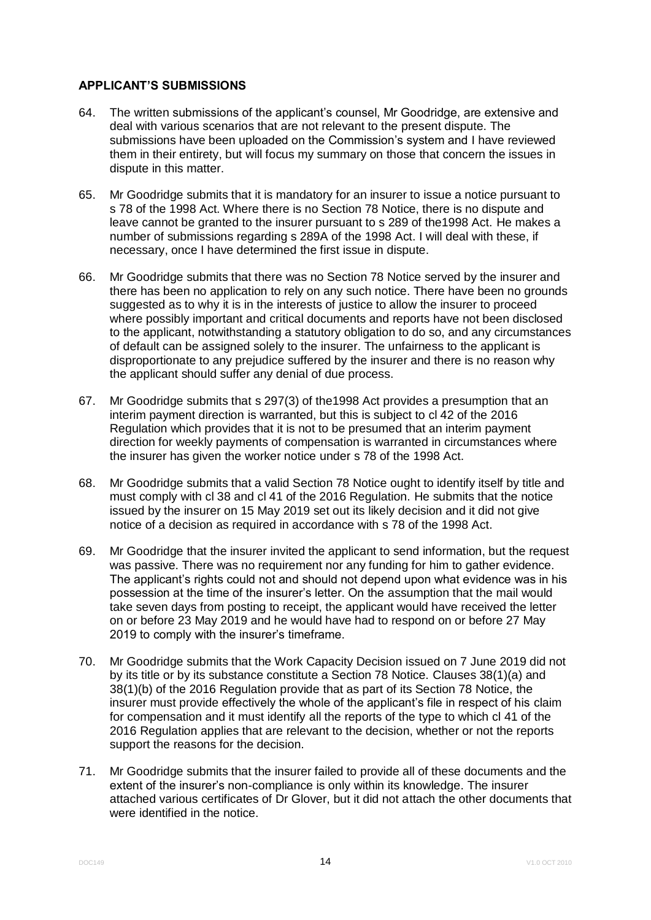## **APPLICANT'S SUBMISSIONS**

- 64. The written submissions of the applicant's counsel, Mr Goodridge, are extensive and deal with various scenarios that are not relevant to the present dispute. The submissions have been uploaded on the Commission's system and I have reviewed them in their entirety, but will focus my summary on those that concern the issues in dispute in this matter.
- 65. Mr Goodridge submits that it is mandatory for an insurer to issue a notice pursuant to s 78 of the 1998 Act. Where there is no Section 78 Notice, there is no dispute and leave cannot be granted to the insurer pursuant to s 289 of the1998 Act. He makes a number of submissions regarding s 289A of the 1998 Act. I will deal with these, if necessary, once I have determined the first issue in dispute.
- 66. Mr Goodridge submits that there was no Section 78 Notice served by the insurer and there has been no application to rely on any such notice. There have been no grounds suggested as to why it is in the interests of justice to allow the insurer to proceed where possibly important and critical documents and reports have not been disclosed to the applicant, notwithstanding a statutory obligation to do so, and any circumstances of default can be assigned solely to the insurer. The unfairness to the applicant is disproportionate to any prejudice suffered by the insurer and there is no reason why the applicant should suffer any denial of due process.
- 67. Mr Goodridge submits that s 297(3) of the1998 Act provides a presumption that an interim payment direction is warranted, but this is subject to cl 42 of the 2016 Regulation which provides that it is not to be presumed that an interim payment direction for weekly payments of compensation is warranted in circumstances where the insurer has given the worker notice under s 78 of the 1998 Act.
- 68. Mr Goodridge submits that a valid Section 78 Notice ought to identify itself by title and must comply with cl 38 and cl 41 of the 2016 Regulation. He submits that the notice issued by the insurer on 15 May 2019 set out its likely decision and it did not give notice of a decision as required in accordance with s 78 of the 1998 Act.
- 69. Mr Goodridge that the insurer invited the applicant to send information, but the request was passive. There was no requirement nor any funding for him to gather evidence. The applicant's rights could not and should not depend upon what evidence was in his possession at the time of the insurer's letter. On the assumption that the mail would take seven days from posting to receipt, the applicant would have received the letter on or before 23 May 2019 and he would have had to respond on or before 27 May 2019 to comply with the insurer's timeframe.
- 70. Mr Goodridge submits that the Work Capacity Decision issued on 7 June 2019 did not by its title or by its substance constitute a Section 78 Notice. Clauses 38(1)(a) and 38(1)(b) of the 2016 Regulation provide that as part of its Section 78 Notice, the insurer must provide effectively the whole of the applicant's file in respect of his claim for compensation and it must identify all the reports of the type to which cl 41 of the 2016 Regulation applies that are relevant to the decision, whether or not the reports support the reasons for the decision.
- 71. Mr Goodridge submits that the insurer failed to provide all of these documents and the extent of the insurer's non-compliance is only within its knowledge. The insurer attached various certificates of Dr Glover, but it did not attach the other documents that were identified in the notice.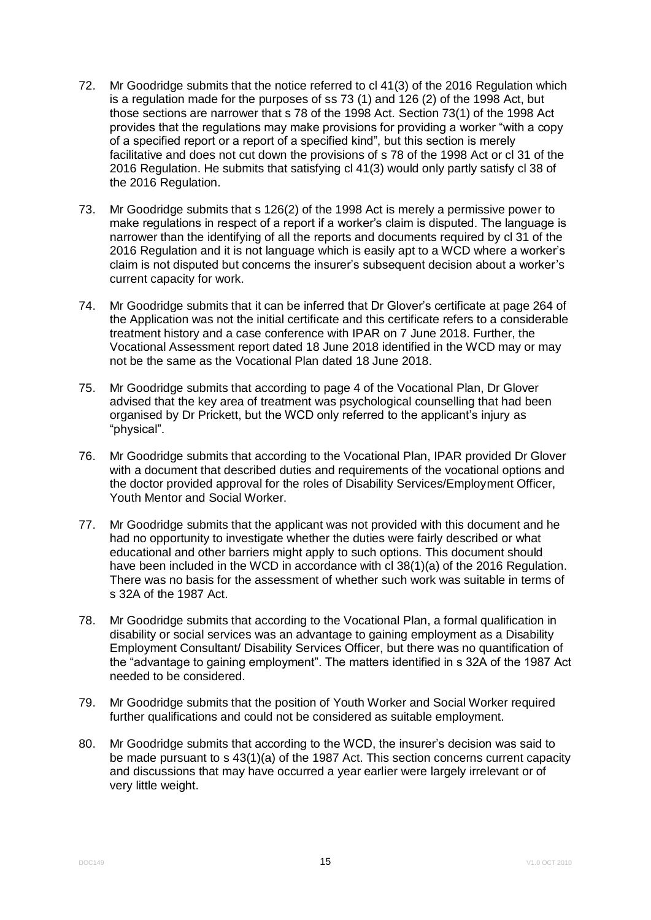- 72. Mr Goodridge submits that the notice referred to cl 41(3) of the 2016 Regulation which is a regulation made for the purposes of ss 73 (1) and 126 (2) of the 1998 Act, but those sections are narrower that s 78 of the 1998 Act. Section 73(1) of the 1998 Act provides that the regulations may make provisions for providing a worker "with a copy of a specified report or a report of a specified kind", but this section is merely facilitative and does not cut down the provisions of s 78 of the 1998 Act or cl 31 of the 2016 Regulation. He submits that satisfying cl 41(3) would only partly satisfy cl 38 of the 2016 Regulation.
- 73. Mr Goodridge submits that s 126(2) of the 1998 Act is merely a permissive power to make regulations in respect of a report if a worker's claim is disputed. The language is narrower than the identifying of all the reports and documents required by cl 31 of the 2016 Regulation and it is not language which is easily apt to a WCD where a worker's claim is not disputed but concerns the insurer's subsequent decision about a worker's current capacity for work.
- 74. Mr Goodridge submits that it can be inferred that Dr Glover's certificate at page 264 of the Application was not the initial certificate and this certificate refers to a considerable treatment history and a case conference with IPAR on 7 June 2018. Further, the Vocational Assessment report dated 18 June 2018 identified in the WCD may or may not be the same as the Vocational Plan dated 18 June 2018.
- 75. Mr Goodridge submits that according to page 4 of the Vocational Plan, Dr Glover advised that the key area of treatment was psychological counselling that had been organised by Dr Prickett, but the WCD only referred to the applicant's injury as "physical".
- 76. Mr Goodridge submits that according to the Vocational Plan, IPAR provided Dr Glover with a document that described duties and requirements of the vocational options and the doctor provided approval for the roles of Disability Services/Employment Officer, Youth Mentor and Social Worker.
- 77. Mr Goodridge submits that the applicant was not provided with this document and he had no opportunity to investigate whether the duties were fairly described or what educational and other barriers might apply to such options. This document should have been included in the WCD in accordance with cl 38(1)(a) of the 2016 Regulation. There was no basis for the assessment of whether such work was suitable in terms of s 32A of the 1987 Act.
- 78. Mr Goodridge submits that according to the Vocational Plan, a formal qualification in disability or social services was an advantage to gaining employment as a Disability Employment Consultant/ Disability Services Officer, but there was no quantification of the "advantage to gaining employment". The matters identified in s 32A of the 1987 Act needed to be considered.
- 79. Mr Goodridge submits that the position of Youth Worker and Social Worker required further qualifications and could not be considered as suitable employment.
- 80. Mr Goodridge submits that according to the WCD, the insurer's decision was said to be made pursuant to s 43(1)(a) of the 1987 Act. This section concerns current capacity and discussions that may have occurred a year earlier were largely irrelevant or of very little weight.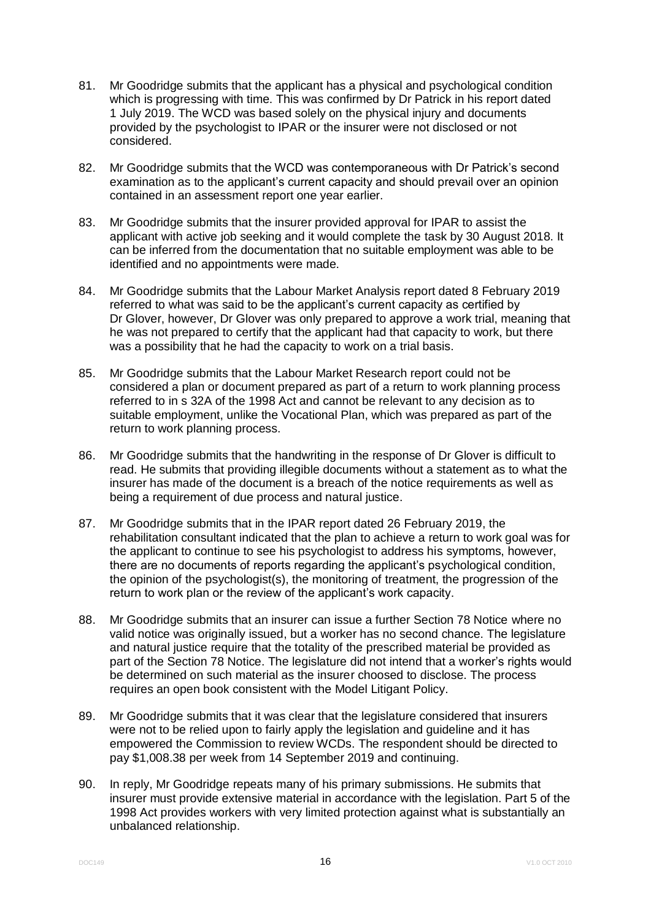- 81. Mr Goodridge submits that the applicant has a physical and psychological condition which is progressing with time. This was confirmed by Dr Patrick in his report dated 1 July 2019. The WCD was based solely on the physical injury and documents provided by the psychologist to IPAR or the insurer were not disclosed or not considered.
- 82. Mr Goodridge submits that the WCD was contemporaneous with Dr Patrick's second examination as to the applicant's current capacity and should prevail over an opinion contained in an assessment report one year earlier.
- 83. Mr Goodridge submits that the insurer provided approval for IPAR to assist the applicant with active job seeking and it would complete the task by 30 August 2018. It can be inferred from the documentation that no suitable employment was able to be identified and no appointments were made.
- 84. Mr Goodridge submits that the Labour Market Analysis report dated 8 February 2019 referred to what was said to be the applicant's current capacity as certified by Dr Glover, however, Dr Glover was only prepared to approve a work trial, meaning that he was not prepared to certify that the applicant had that capacity to work, but there was a possibility that he had the capacity to work on a trial basis.
- 85. Mr Goodridge submits that the Labour Market Research report could not be considered a plan or document prepared as part of a return to work planning process referred to in s 32A of the 1998 Act and cannot be relevant to any decision as to suitable employment, unlike the Vocational Plan, which was prepared as part of the return to work planning process.
- 86. Mr Goodridge submits that the handwriting in the response of Dr Glover is difficult to read. He submits that providing illegible documents without a statement as to what the insurer has made of the document is a breach of the notice requirements as well as being a requirement of due process and natural justice.
- 87. Mr Goodridge submits that in the IPAR report dated 26 February 2019, the rehabilitation consultant indicated that the plan to achieve a return to work goal was for the applicant to continue to see his psychologist to address his symptoms, however, there are no documents of reports regarding the applicant's psychological condition, the opinion of the psychologist(s), the monitoring of treatment, the progression of the return to work plan or the review of the applicant's work capacity.
- 88. Mr Goodridge submits that an insurer can issue a further Section 78 Notice where no valid notice was originally issued, but a worker has no second chance. The legislature and natural justice require that the totality of the prescribed material be provided as part of the Section 78 Notice. The legislature did not intend that a worker's rights would be determined on such material as the insurer choosed to disclose. The process requires an open book consistent with the Model Litigant Policy.
- 89. Mr Goodridge submits that it was clear that the legislature considered that insurers were not to be relied upon to fairly apply the legislation and guideline and it has empowered the Commission to review WCDs. The respondent should be directed to pay \$1,008.38 per week from 14 September 2019 and continuing.
- 90. In reply, Mr Goodridge repeats many of his primary submissions. He submits that insurer must provide extensive material in accordance with the legislation. Part 5 of the 1998 Act provides workers with very limited protection against what is substantially an unbalanced relationship.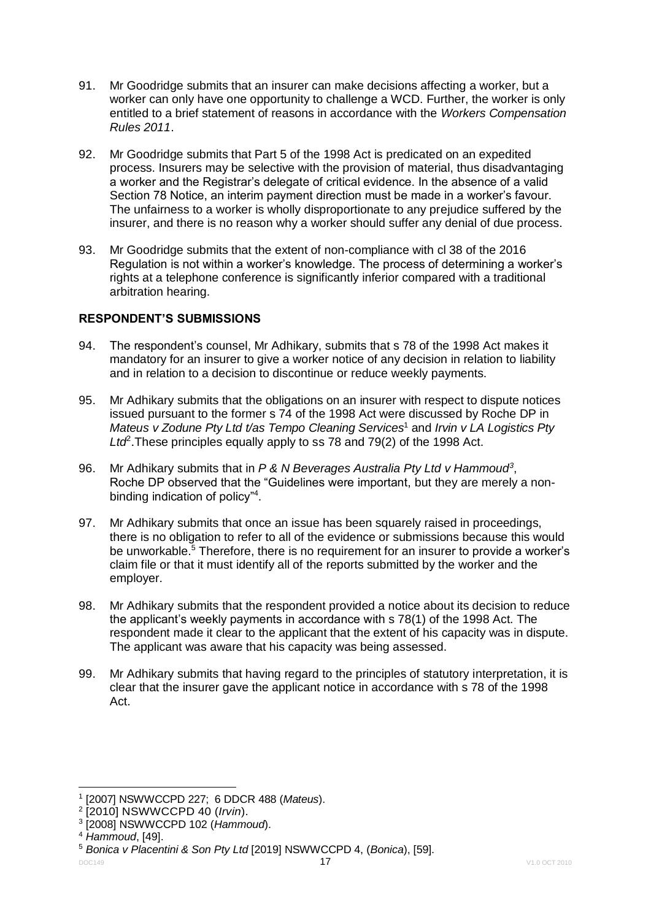- 91. Mr Goodridge submits that an insurer can make decisions affecting a worker, but a worker can only have one opportunity to challenge a WCD. Further, the worker is only entitled to a brief statement of reasons in accordance with the *Workers Compensation Rules 2011*.
- 92. Mr Goodridge submits that Part 5 of the 1998 Act is predicated on an expedited process. Insurers may be selective with the provision of material, thus disadvantaging a worker and the Registrar's delegate of critical evidence. In the absence of a valid Section 78 Notice, an interim payment direction must be made in a worker's favour. The unfairness to a worker is wholly disproportionate to any prejudice suffered by the insurer, and there is no reason why a worker should suffer any denial of due process.
- 93. Mr Goodridge submits that the extent of non-compliance with cl 38 of the 2016 Regulation is not within a worker's knowledge. The process of determining a worker's rights at a telephone conference is significantly inferior compared with a traditional arbitration hearing.

# **RESPONDENT'S SUBMISSIONS**

- 94. The respondent's counsel, Mr Adhikary, submits that s 78 of the 1998 Act makes it mandatory for an insurer to give a worker notice of any decision in relation to liability and in relation to a decision to discontinue or reduce weekly payments.
- 95. Mr Adhikary submits that the obligations on an insurer with respect to dispute notices issued pursuant to the former s 74 of the 1998 Act were discussed by Roche DP in *Mateus v Zodune Pty Ltd t/as Tempo Cleaning Services*<sup>1</sup> and *Irvin v LA Logistics Pty*  Ltd<sup>2</sup>. These principles equally apply to ss 78 and 79(2) of the 1998 Act.
- 96. Mr Adhikary submits that in *P & N Beverages Australia Pty Ltd v Hammoud<sup>3</sup>* , Roche DP observed that the "Guidelines were important, but they are merely a nonbinding indication of policy"<sup>4</sup>.
- 97. Mr Adhikary submits that once an issue has been squarely raised in proceedings, there is no obligation to refer to all of the evidence or submissions because this would be unworkable.<sup>5</sup> Therefore, there is no requirement for an insurer to provide a worker's claim file or that it must identify all of the reports submitted by the worker and the employer.
- 98. Mr Adhikary submits that the respondent provided a notice about its decision to reduce the applicant's weekly payments in accordance with s 78(1) of the 1998 Act. The respondent made it clear to the applicant that the extent of his capacity was in dispute. The applicant was aware that his capacity was being assessed.
- 99. Mr Adhikary submits that having regard to the principles of statutory interpretation, it is clear that the insurer gave the applicant notice in accordance with s 78 of the 1998 Act.

<sup>&</sup>lt;u>.</u> 1 [2007] NSWWCCPD 227; 6 DDCR 488 (*Mateus*).

<sup>2</sup> [2010] NSWWCCPD 40 (*Irvin*).

<sup>3</sup> [2008] NSWWCCPD 102 (*Hammoud*).

<sup>4</sup> *Hammoud*, [49].

<sup>5</sup> *Bonica v Placentini & Son Pty Ltd* [2019] NSWWCCPD 4, (*Bonica*), [59].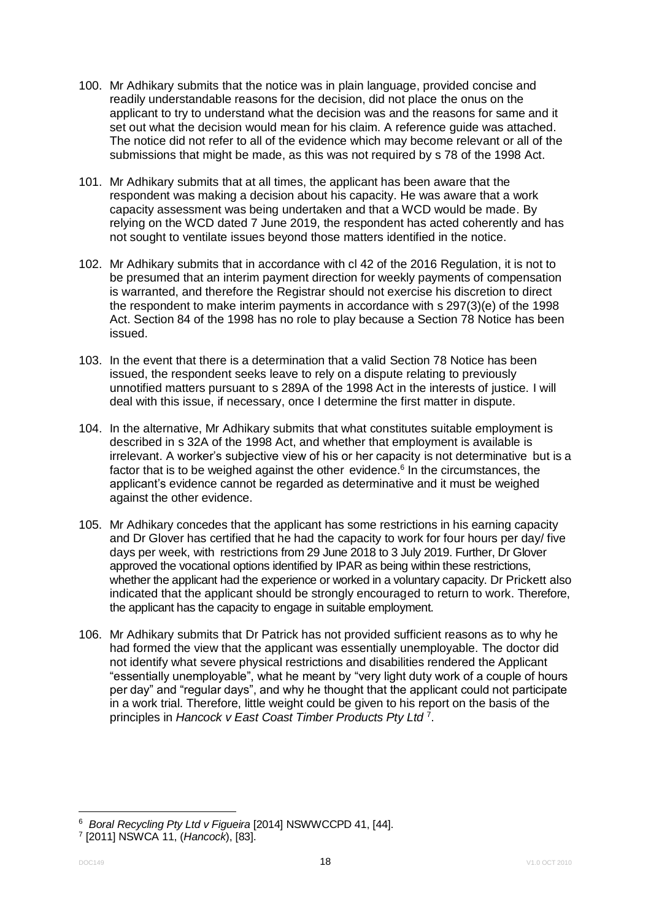- 100. Mr Adhikary submits that the notice was in plain language, provided concise and readily understandable reasons for the decision, did not place the onus on the applicant to try to understand what the decision was and the reasons for same and it set out what the decision would mean for his claim. A reference guide was attached. The notice did not refer to all of the evidence which may become relevant or all of the submissions that might be made, as this was not required by s 78 of the 1998 Act.
- 101. Mr Adhikary submits that at all times, the applicant has been aware that the respondent was making a decision about his capacity. He was aware that a work capacity assessment was being undertaken and that a WCD would be made. By relying on the WCD dated 7 June 2019, the respondent has acted coherently and has not sought to ventilate issues beyond those matters identified in the notice.
- 102. Mr Adhikary submits that in accordance with cl 42 of the 2016 Regulation, it is not to be presumed that an interim payment direction for weekly payments of compensation is warranted, and therefore the Registrar should not exercise his discretion to direct the respondent to make interim payments in accordance with s 297(3)(e) of the 1998 Act. Section 84 of the 1998 has no role to play because a Section 78 Notice has been issued.
- 103. In the event that there is a determination that a valid Section 78 Notice has been issued, the respondent seeks leave to rely on a dispute relating to previously unnotified matters pursuant to s 289A of the 1998 Act in the interests of justice. I will deal with this issue, if necessary, once I determine the first matter in dispute.
- 104. In the alternative, Mr Adhikary submits that what constitutes suitable employment is described in s 32A of the 1998 Act, and whether that employment is available is irrelevant. A worker's subjective view of his or her capacity is not determinative but is a factor that is to be weighed against the other evidence. $6$  In the circumstances, the applicant's evidence cannot be regarded as determinative and it must be weighed against the other evidence.
- 105. Mr Adhikary concedes that the applicant has some restrictions in his earning capacity and Dr Glover has certified that he had the capacity to work for four hours per day/ five days per week, with restrictions from 29 June 2018 to 3 July 2019. Further, Dr Glover approved the vocational options identified by IPAR as being within these restrictions, whether the applicant had the experience or worked in a voluntary capacity. Dr Prickett also indicated that the applicant should be strongly encouraged to return to work. Therefore, the applicant has the capacity to engage in suitable employment.
- 106. Mr Adhikary submits that Dr Patrick has not provided sufficient reasons as to why he had formed the view that the applicant was essentially unemployable. The doctor did not identify what severe physical restrictions and disabilities rendered the Applicant "essentially unemployable", what he meant by "very light duty work of a couple of hours per day" and "regular days", and why he thought that the applicant could not participate in a work trial. Therefore, little weight could be given to his report on the basis of the principles in *Hancock v East Coast Timber Products Pty Ltd* <sup>7</sup> .

1

<sup>6</sup> *Boral Recycling Pty Ltd v Figueira* [2014] NSWWCCPD 41, [44].

<sup>7</sup> [2011] NSWCA 11, (*Hancock*), [83].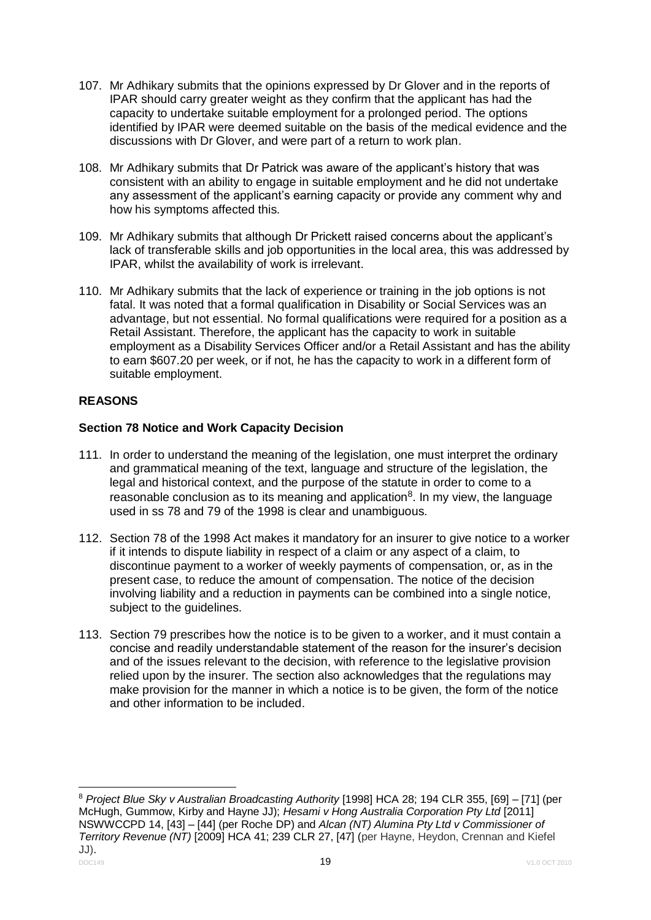- 107. Mr Adhikary submits that the opinions expressed by Dr Glover and in the reports of IPAR should carry greater weight as they confirm that the applicant has had the capacity to undertake suitable employment for a prolonged period. The options identified by IPAR were deemed suitable on the basis of the medical evidence and the discussions with Dr Glover, and were part of a return to work plan.
- 108. Mr Adhikary submits that Dr Patrick was aware of the applicant's history that was consistent with an ability to engage in suitable employment and he did not undertake any assessment of the applicant's earning capacity or provide any comment why and how his symptoms affected this.
- 109. Mr Adhikary submits that although Dr Prickett raised concerns about the applicant's lack of transferable skills and job opportunities in the local area, this was addressed by IPAR, whilst the availability of work is irrelevant.
- 110. Mr Adhikary submits that the lack of experience or training in the job options is not fatal. It was noted that a formal qualification in Disability or Social Services was an advantage, but not essential. No formal qualifications were required for a position as a Retail Assistant. Therefore, the applicant has the capacity to work in suitable employment as a Disability Services Officer and/or a Retail Assistant and has the ability to earn \$607.20 per week, or if not, he has the capacity to work in a different form of suitable employment.

# **REASONS**

# **Section 78 Notice and Work Capacity Decision**

- 111. In order to understand the meaning of the legislation, one must interpret the ordinary and grammatical meaning of the text, language and structure of the legislation, the legal and historical context, and the purpose of the statute in order to come to a reasonable conclusion as to its meaning and application $8$ . In my view, the language used in ss 78 and 79 of the 1998 is clear and unambiguous.
- 112. Section 78 of the 1998 Act makes it mandatory for an insurer to give notice to a worker if it intends to dispute liability in respect of a claim or any aspect of a claim, to discontinue payment to a worker of weekly payments of compensation, or, as in the present case, to reduce the amount of compensation. The notice of the decision involving liability and a reduction in payments can be combined into a single notice, subject to the guidelines.
- 113. Section 79 prescribes how the notice is to be given to a worker, and it must contain a concise and readily understandable statement of the reason for the insurer's decision and of the issues relevant to the decision, with reference to the legislative provision relied upon by the insurer. The section also acknowledges that the regulations may make provision for the manner in which a notice is to be given, the form of the notice and other information to be included.

<sup>&</sup>lt;u>.</u> <sup>8</sup> *Project Blue Sky v Australian Broadcasting Authority* [1998] HCA 28; 194 CLR 355, [69] – [71] (per McHugh, Gummow, Kirby and Hayne JJ); *Hesami v Hong Australia Corporation Pty Ltd* [2011] NSWWCCPD 14, [43] – [44] (per Roche DP) and *Alcan (NT) Alumina Pty Ltd v Commissioner of Territory Revenue (NT)* [2009] HCA 41; 239 CLR 27, [47] (per Hayne, Heydon, Crennan and Kiefel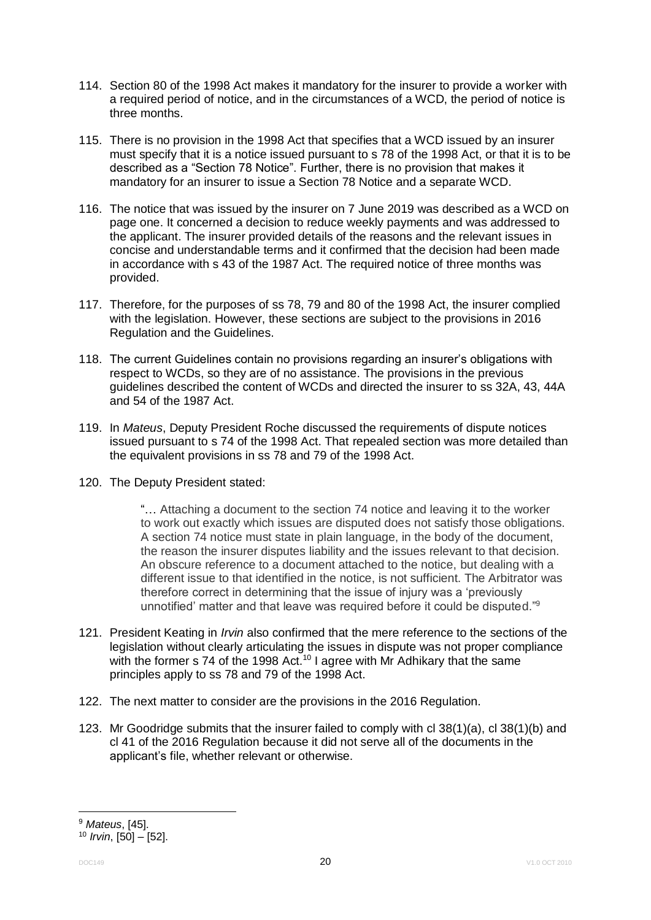- 114. Section 80 of the 1998 Act makes it mandatory for the insurer to provide a worker with a required period of notice, and in the circumstances of a WCD, the period of notice is three months.
- 115. There is no provision in the 1998 Act that specifies that a WCD issued by an insurer must specify that it is a notice issued pursuant to s 78 of the 1998 Act, or that it is to be described as a "Section 78 Notice". Further, there is no provision that makes it mandatory for an insurer to issue a Section 78 Notice and a separate WCD.
- 116. The notice that was issued by the insurer on 7 June 2019 was described as a WCD on page one. It concerned a decision to reduce weekly payments and was addressed to the applicant. The insurer provided details of the reasons and the relevant issues in concise and understandable terms and it confirmed that the decision had been made in accordance with s 43 of the 1987 Act. The required notice of three months was provided.
- 117. Therefore, for the purposes of ss 78, 79 and 80 of the 1998 Act, the insurer complied with the legislation. However, these sections are subject to the provisions in 2016 Regulation and the Guidelines.
- 118. The current Guidelines contain no provisions regarding an insurer's obligations with respect to WCDs, so they are of no assistance. The provisions in the previous guidelines described the content of WCDs and directed the insurer to ss 32A, 43, 44A and 54 of the 1987 Act.
- 119. In *Mateus*, Deputy President Roche discussed the requirements of dispute notices issued pursuant to s 74 of the 1998 Act. That repealed section was more detailed than the equivalent provisions in ss 78 and 79 of the 1998 Act.
- 120. The Deputy President stated:

"… Attaching a document to the section 74 notice and leaving it to the worker to work out exactly which issues are disputed does not satisfy those obligations. A section 74 notice must state in plain language, in the body of the document, the reason the insurer disputes liability and the issues relevant to that decision. An obscure reference to a document attached to the notice, but dealing with a different issue to that identified in the notice, is not sufficient. The Arbitrator was therefore correct in determining that the issue of injury was a 'previously unnotified' matter and that leave was required before it could be disputed."<sup>9</sup>

- 121. President Keating in *Irvin* also confirmed that the mere reference to the sections of the legislation without clearly articulating the issues in dispute was not proper compliance with the former s 74 of the 1998 Act.<sup>10</sup> I agree with Mr Adhikary that the same principles apply to ss 78 and 79 of the 1998 Act.
- 122. The next matter to consider are the provisions in the 2016 Regulation.
- 123. Mr Goodridge submits that the insurer failed to comply with cl 38(1)(a), cl 38(1)(b) and cl 41 of the 2016 Regulation because it did not serve all of the documents in the applicant's file, whether relevant or otherwise.

1

<sup>9</sup> *Mateus*, [45].

<sup>10</sup> *Irvin*, [50] – [52].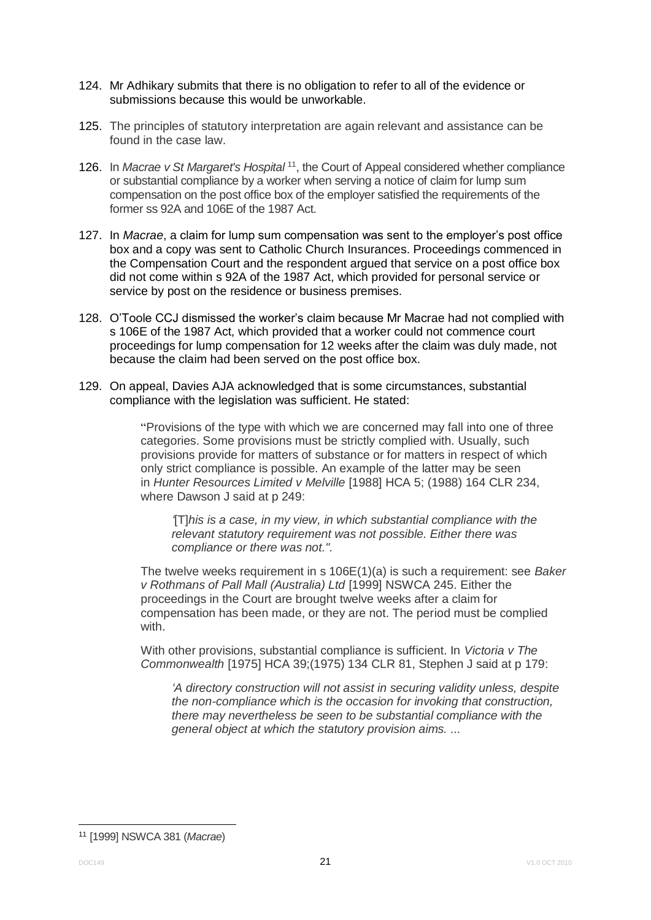- 124. Mr Adhikary submits that there is no obligation to refer to all of the evidence or submissions because this would be unworkable.
- 125. The principles of statutory interpretation are again relevant and assistance can be found in the case law.
- 126. In *Macrae v St Margaret's Hospital* <sup>11</sup>, the Court of Appeal considered whether compliance or substantial compliance by a worker when serving a notice of claim for lump sum compensation on the post office box of the employer satisfied the requirements of the former ss 92A and 106E of the 1987 Act.
- 127. In *Macrae*, a claim for lump sum compensation was sent to the employer's post office box and a copy was sent to Catholic Church Insurances. Proceedings commenced in the Compensation Court and the respondent argued that service on a post office box did not come within s 92A of the 1987 Act, which provided for personal service or service by post on the residence or business premises.
- 128. O'Toole CCJ dismissed the worker's claim because Mr Macrae had not complied with s 106E of the 1987 Act, which provided that a worker could not commence court proceedings for lump compensation for 12 weeks after the claim was duly made, not because the claim had been served on the post office box.
- 129. On appeal, Davies AJA acknowledged that is some circumstances, substantial compliance with the legislation was sufficient. He stated:

"Provisions of the type with which we are concerned may fall into one of three categories. Some provisions must be strictly complied with. Usually, such provisions provide for matters of substance or for matters in respect of which only strict compliance is possible. An example of the latter may be seen in *Hunter Resources Limited v Melville* [1988] HCA 5; (1988) 164 CLR 234, where Dawson J said at p 249:

*'*[T]*his is a case, in my view, in which substantial compliance with the relevant statutory requirement was not possible. Either there was compliance or there was not.".*

The twelve weeks requirement in s 106E(1)(a) is such a requirement: see *Baker v Rothmans of Pall Mall (Australia) Ltd* [1999] NSWCA 245. Either the proceedings in the Court are brought twelve weeks after a claim for compensation has been made, or they are not. The period must be complied with.

With other provisions, substantial compliance is sufficient. In *Victoria v The Commonwealth* [1975] HCA 39;(1975) 134 CLR 81, Stephen J said at p 179:

*'A directory construction will not assist in securing validity unless, despite the non-compliance which is the occasion for invoking that construction, there may nevertheless be seen to be substantial compliance with the general object at which the statutory provision aims. ...*

1

<sup>11</sup> [1999] NSWCA 381 (*Macrae*)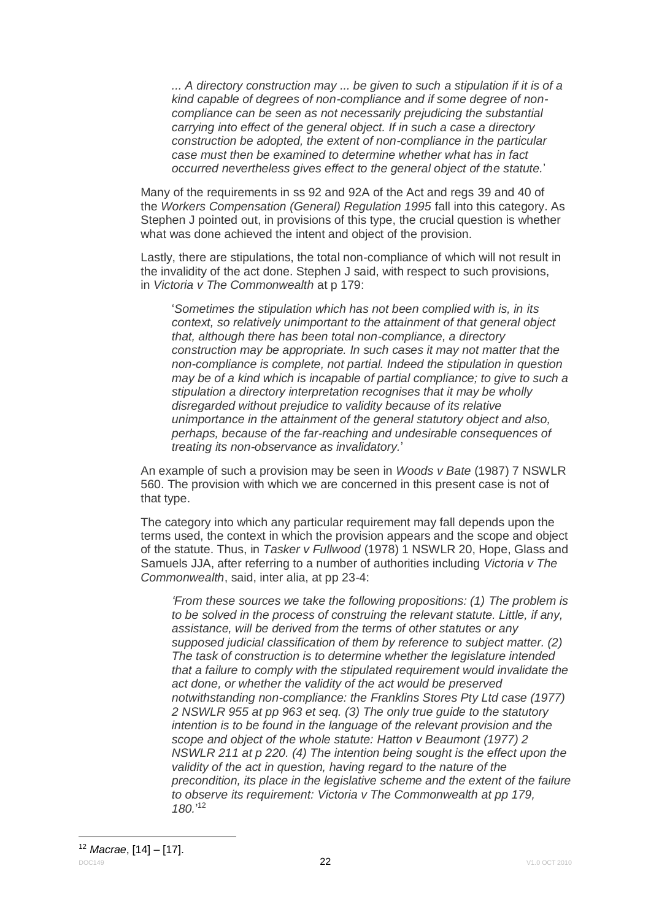*... A directory construction may ... be given to such a stipulation if it is of a kind capable of degrees of non-compliance and if some degree of noncompliance can be seen as not necessarily prejudicing the substantial carrying into effect of the general object. If in such a case a directory construction be adopted, the extent of non-compliance in the particular case must then be examined to determine whether what has in fact occurred nevertheless gives effect to the general object of the statute.*'

Many of the requirements in ss 92 and 92A of the Act and regs 39 and 40 of the *Workers Compensation (General) Regulation 1995* fall into this category. As Stephen J pointed out, in provisions of this type, the crucial question is whether what was done achieved the intent and object of the provision.

Lastly, there are stipulations, the total non-compliance of which will not result in the invalidity of the act done. Stephen J said, with respect to such provisions, in *Victoria v The Commonwealth* at p 179:

'*Sometimes the stipulation which has not been complied with is, in its context, so relatively unimportant to the attainment of that general object that, although there has been total non-compliance, a directory construction may be appropriate. In such cases it may not matter that the non-compliance is complete, not partial. Indeed the stipulation in question may be of a kind which is incapable of partial compliance; to give to such a stipulation a directory interpretation recognises that it may be wholly disregarded without prejudice to validity because of its relative unimportance in the attainment of the general statutory object and also, perhaps, because of the far-reaching and undesirable consequences of treating its non-observance as invalidatory.*'

An example of such a provision may be seen in *Woods v Bate* (1987) 7 NSWLR 560. The provision with which we are concerned in this present case is not of that type.

The category into which any particular requirement may fall depends upon the terms used, the context in which the provision appears and the scope and object of the statute. Thus, in *Tasker v Fullwood* (1978) 1 NSWLR 20, Hope, Glass and Samuels JJA, after referring to a number of authorities including *Victoria v The Commonwealth*, said, inter alia, at pp 23-4:

*'From these sources we take the following propositions: (1) The problem is to be solved in the process of construing the relevant statute. Little, if any, assistance, will be derived from the terms of other statutes or any supposed judicial classification of them by reference to subject matter. (2) The task of construction is to determine whether the legislature intended that a failure to comply with the stipulated requirement would invalidate the act done, or whether the validity of the act would be preserved notwithstanding non-compliance: the Franklins Stores Pty Ltd case (1977) 2 NSWLR 955 at pp 963 et seq. (3) The only true guide to the statutory intention is to be found in the language of the relevant provision and the scope and object of the whole statute: Hatton v Beaumont (1977) 2 NSWLR 211 at p 220. (4) The intention being sought is the effect upon the validity of the act in question, having regard to the nature of the precondition, its place in the legislative scheme and the extent of the failure to observe its requirement: Victoria v The Commonwealth at pp 179, 180.*' 12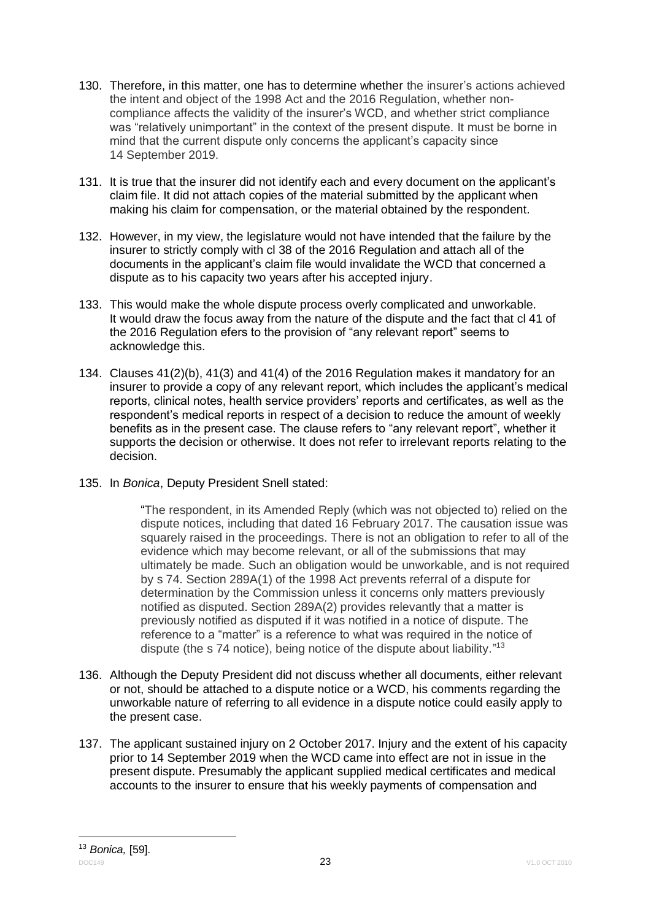- 130. Therefore, in this matter, one has to determine whether the insurer's actions achieved the intent and object of the 1998 Act and the 2016 Regulation, whether noncompliance affects the validity of the insurer's WCD, and whether strict compliance was "relatively unimportant" in the context of the present dispute. It must be borne in mind that the current dispute only concerns the applicant's capacity since 14 September 2019.
- 131. It is true that the insurer did not identify each and every document on the applicant's claim file. It did not attach copies of the material submitted by the applicant when making his claim for compensation, or the material obtained by the respondent.
- 132. However, in my view, the legislature would not have intended that the failure by the insurer to strictly comply with cl 38 of the 2016 Regulation and attach all of the documents in the applicant's claim file would invalidate the WCD that concerned a dispute as to his capacity two years after his accepted injury.
- 133. This would make the whole dispute process overly complicated and unworkable. It would draw the focus away from the nature of the dispute and the fact that cl 41 of the 2016 Regulation efers to the provision of "any relevant report" seems to acknowledge this.
- 134. Clauses 41(2)(b), 41(3) and 41(4) of the 2016 Regulation makes it mandatory for an insurer to provide a copy of any relevant report, which includes the applicant's medical reports, clinical notes, health service providers' reports and certificates, as well as the respondent's medical reports in respect of a decision to reduce the amount of weekly benefits as in the present case. The clause refers to "any relevant report", whether it supports the decision or otherwise. It does not refer to irrelevant reports relating to the decision.
- 135. In *Bonica*, Deputy President Snell stated:

"The respondent, in its Amended Reply (which was not objected to) relied on the dispute notices, including that dated 16 February 2017. The causation issue was squarely raised in the proceedings. There is not an obligation to refer to all of the evidence which may become relevant, or all of the submissions that may ultimately be made. Such an obligation would be unworkable, and is not required by s 74. Section 289A(1) of the 1998 Act prevents referral of a dispute for determination by the Commission unless it concerns only matters previously notified as disputed. Section 289A(2) provides relevantly that a matter is previously notified as disputed if it was notified in a notice of dispute. The reference to a "matter" is a reference to what was required in the notice of dispute (the s 74 notice), being notice of the dispute about liability."<sup>13</sup>

- 136. Although the Deputy President did not discuss whether all documents, either relevant or not, should be attached to a dispute notice or a WCD, his comments regarding the unworkable nature of referring to all evidence in a dispute notice could easily apply to the present case.
- 137. The applicant sustained injury on 2 October 2017. Injury and the extent of his capacity prior to 14 September 2019 when the WCD came into effect are not in issue in the present dispute. Presumably the applicant supplied medical certificates and medical accounts to the insurer to ensure that his weekly payments of compensation and

DOC149 23 V1.0 OCT 2010 1 <sup>13</sup> *Bonica,* [59].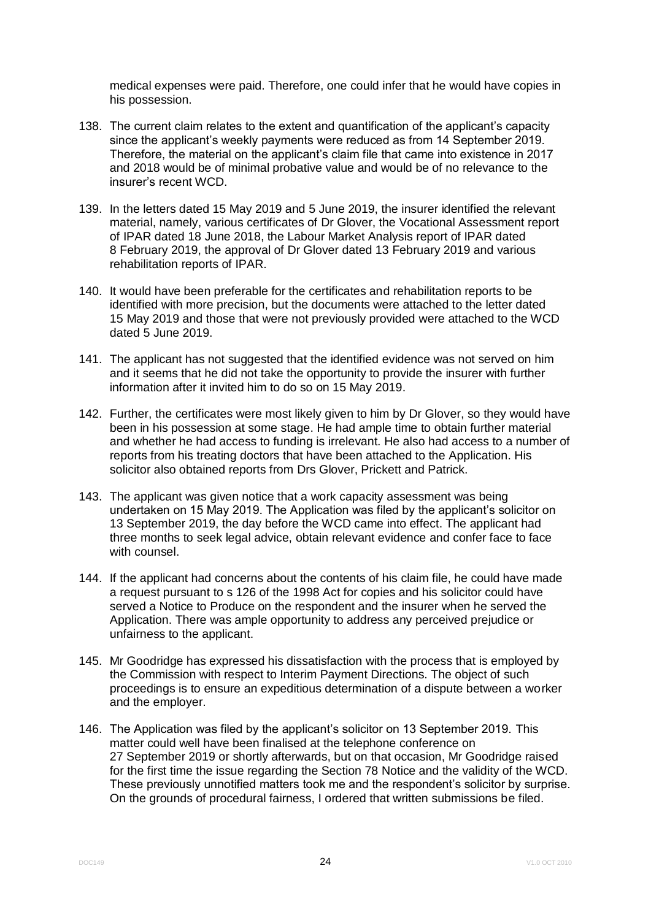medical expenses were paid. Therefore, one could infer that he would have copies in his possession.

- 138. The current claim relates to the extent and quantification of the applicant's capacity since the applicant's weekly payments were reduced as from 14 September 2019. Therefore, the material on the applicant's claim file that came into existence in 2017 and 2018 would be of minimal probative value and would be of no relevance to the insurer's recent WCD.
- 139. In the letters dated 15 May 2019 and 5 June 2019, the insurer identified the relevant material, namely, various certificates of Dr Glover, the Vocational Assessment report of IPAR dated 18 June 2018, the Labour Market Analysis report of IPAR dated 8 February 2019, the approval of Dr Glover dated 13 February 2019 and various rehabilitation reports of IPAR.
- 140. It would have been preferable for the certificates and rehabilitation reports to be identified with more precision, but the documents were attached to the letter dated 15 May 2019 and those that were not previously provided were attached to the WCD dated 5 June 2019.
- 141. The applicant has not suggested that the identified evidence was not served on him and it seems that he did not take the opportunity to provide the insurer with further information after it invited him to do so on 15 May 2019.
- 142. Further, the certificates were most likely given to him by Dr Glover, so they would have been in his possession at some stage. He had ample time to obtain further material and whether he had access to funding is irrelevant. He also had access to a number of reports from his treating doctors that have been attached to the Application. His solicitor also obtained reports from Drs Glover, Prickett and Patrick.
- 143. The applicant was given notice that a work capacity assessment was being undertaken on 15 May 2019. The Application was filed by the applicant's solicitor on 13 September 2019, the day before the WCD came into effect. The applicant had three months to seek legal advice, obtain relevant evidence and confer face to face with counsel.
- 144. If the applicant had concerns about the contents of his claim file, he could have made a request pursuant to s 126 of the 1998 Act for copies and his solicitor could have served a Notice to Produce on the respondent and the insurer when he served the Application. There was ample opportunity to address any perceived prejudice or unfairness to the applicant.
- 145. Mr Goodridge has expressed his dissatisfaction with the process that is employed by the Commission with respect to Interim Payment Directions. The object of such proceedings is to ensure an expeditious determination of a dispute between a worker and the employer.
- 146. The Application was filed by the applicant's solicitor on 13 September 2019. This matter could well have been finalised at the telephone conference on 27 September 2019 or shortly afterwards, but on that occasion, Mr Goodridge raised for the first time the issue regarding the Section 78 Notice and the validity of the WCD. These previously unnotified matters took me and the respondent's solicitor by surprise. On the grounds of procedural fairness, I ordered that written submissions be filed.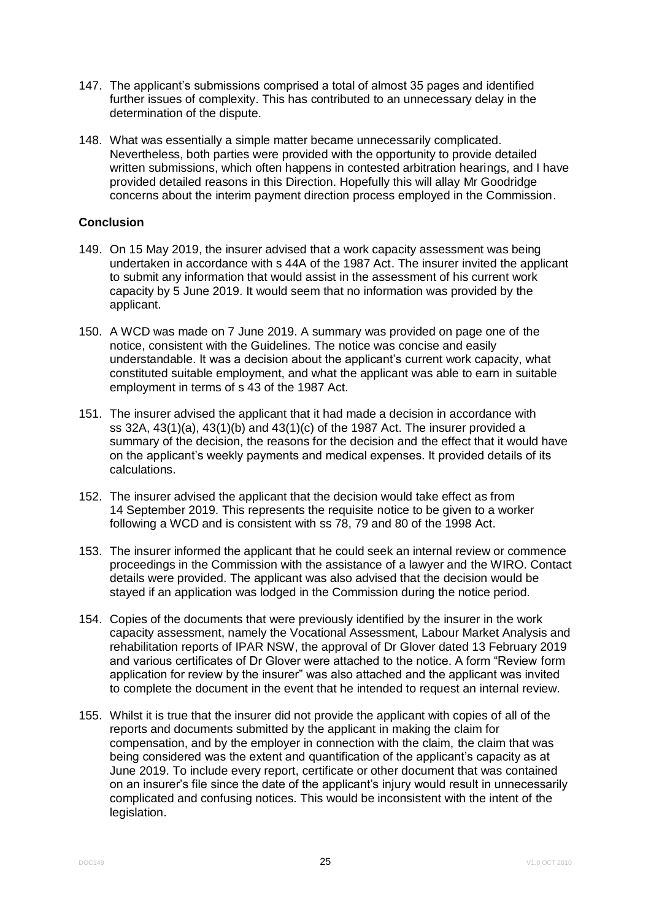- 147. The applicant's submissions comprised a total of almost 35 pages and identified further issues of complexity. This has contributed to an unnecessary delay in the determination of the dispute.
- 148. What was essentially a simple matter became unnecessarily complicated. Nevertheless, both parties were provided with the opportunity to provide detailed written submissions, which often happens in contested arbitration hearings, and I have provided detailed reasons in this Direction. Hopefully this will allay Mr Goodridge concerns about the interim payment direction process employed in the Commission.

# **Conclusion**

- 149. On 15 May 2019, the insurer advised that a work capacity assessment was being undertaken in accordance with s 44A of the 1987 Act. The insurer invited the applicant to submit any information that would assist in the assessment of his current work capacity by 5 June 2019. It would seem that no information was provided by the applicant.
- 150. A WCD was made on 7 June 2019. A summary was provided on page one of the notice, consistent with the Guidelines. The notice was concise and easily understandable. It was a decision about the applicant's current work capacity, what constituted suitable employment, and what the applicant was able to earn in suitable employment in terms of s 43 of the 1987 Act.
- 151. The insurer advised the applicant that it had made a decision in accordance with ss 32A, 43(1)(a), 43(1)(b) and 43(1)(c) of the 1987 Act. The insurer provided a summary of the decision, the reasons for the decision and the effect that it would have on the applicant's weekly payments and medical expenses. It provided details of its calculations.
- 152. The insurer advised the applicant that the decision would take effect as from 14 September 2019. This represents the requisite notice to be given to a worker following a WCD and is consistent with ss 78, 79 and 80 of the 1998 Act.
- 153. The insurer informed the applicant that he could seek an internal review or commence proceedings in the Commission with the assistance of a lawyer and the WIRO. Contact details were provided. The applicant was also advised that the decision would be stayed if an application was lodged in the Commission during the notice period.
- 154. Copies of the documents that were previously identified by the insurer in the work capacity assessment, namely the Vocational Assessment, Labour Market Analysis and rehabilitation reports of IPAR NSW, the approval of Dr Glover dated 13 February 2019 and various certificates of Dr Glover were attached to the notice. A form "Review form application for review by the insurer" was also attached and the applicant was invited to complete the document in the event that he intended to request an internal review.
- 155. Whilst it is true that the insurer did not provide the applicant with copies of all of the reports and documents submitted by the applicant in making the claim for compensation, and by the employer in connection with the claim, the claim that was being considered was the extent and quantification of the applicant's capacity as at June 2019. To include every report, certificate or other document that was contained on an insurer's file since the date of the applicant's injury would result in unnecessarily complicated and confusing notices. This would be inconsistent with the intent of the legislation.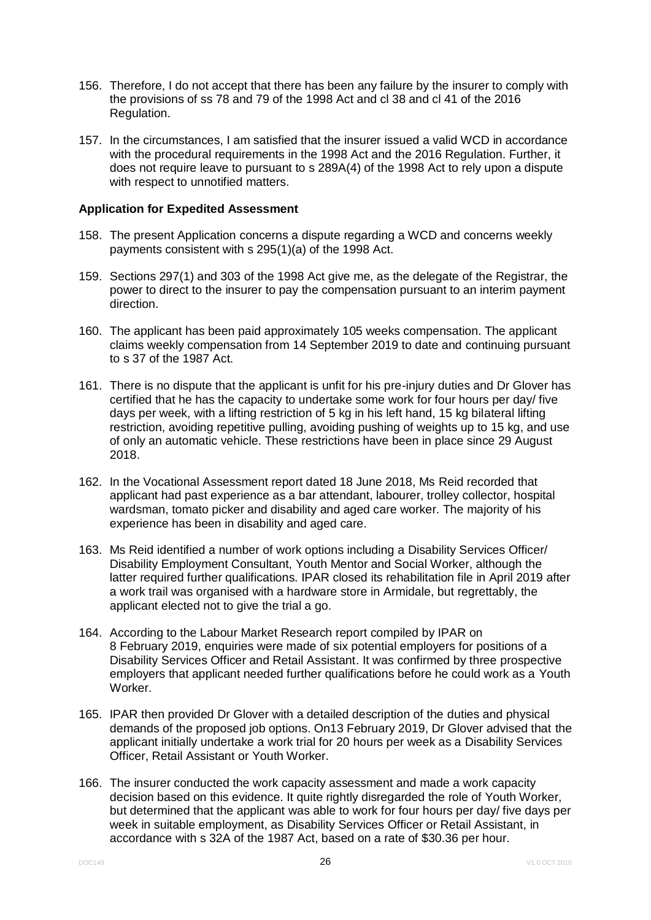- 156. Therefore, I do not accept that there has been any failure by the insurer to comply with the provisions of ss 78 and 79 of the 1998 Act and cl 38 and cl 41 of the 2016 Regulation.
- 157. In the circumstances, I am satisfied that the insurer issued a valid WCD in accordance with the procedural requirements in the 1998 Act and the 2016 Regulation. Further, it does not require leave to pursuant to s 289A(4) of the 1998 Act to rely upon a dispute with respect to unnotified matters.

## **Application for Expedited Assessment**

- 158. The present Application concerns a dispute regarding a WCD and concerns weekly payments consistent with s 295(1)(a) of the 1998 Act.
- 159. Sections 297(1) and 303 of the 1998 Act give me, as the delegate of the Registrar, the power to direct to the insurer to pay the compensation pursuant to an interim payment direction.
- 160. The applicant has been paid approximately 105 weeks compensation. The applicant claims weekly compensation from 14 September 2019 to date and continuing pursuant to s 37 of the 1987 Act.
- 161. There is no dispute that the applicant is unfit for his pre-injury duties and Dr Glover has certified that he has the capacity to undertake some work for four hours per day/ five days per week, with a lifting restriction of 5 kg in his left hand, 15 kg bilateral lifting restriction, avoiding repetitive pulling, avoiding pushing of weights up to 15 kg, and use of only an automatic vehicle. These restrictions have been in place since 29 August 2018.
- 162. In the Vocational Assessment report dated 18 June 2018, Ms Reid recorded that applicant had past experience as a bar attendant, labourer, trolley collector, hospital wardsman, tomato picker and disability and aged care worker. The majority of his experience has been in disability and aged care.
- 163. Ms Reid identified a number of work options including a Disability Services Officer/ Disability Employment Consultant, Youth Mentor and Social Worker, although the latter required further qualifications. IPAR closed its rehabilitation file in April 2019 after a work trail was organised with a hardware store in Armidale, but regrettably, the applicant elected not to give the trial a go.
- 164. According to the Labour Market Research report compiled by IPAR on 8 February 2019, enquiries were made of six potential employers for positions of a Disability Services Officer and Retail Assistant. It was confirmed by three prospective employers that applicant needed further qualifications before he could work as a Youth Worker.
- 165. IPAR then provided Dr Glover with a detailed description of the duties and physical demands of the proposed job options. On13 February 2019, Dr Glover advised that the applicant initially undertake a work trial for 20 hours per week as a Disability Services Officer, Retail Assistant or Youth Worker.
- 166. The insurer conducted the work capacity assessment and made a work capacity decision based on this evidence. It quite rightly disregarded the role of Youth Worker, but determined that the applicant was able to work for four hours per day/ five days per week in suitable employment, as Disability Services Officer or Retail Assistant, in accordance with s 32A of the 1987 Act, based on a rate of \$30.36 per hour.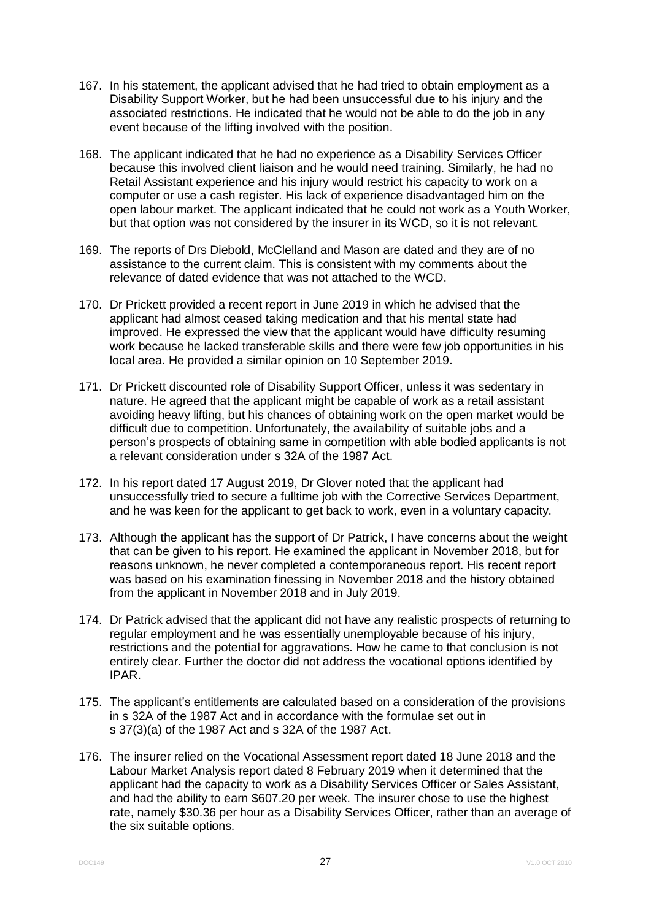- 167. In his statement, the applicant advised that he had tried to obtain employment as a Disability Support Worker, but he had been unsuccessful due to his injury and the associated restrictions. He indicated that he would not be able to do the job in any event because of the lifting involved with the position.
- 168. The applicant indicated that he had no experience as a Disability Services Officer because this involved client liaison and he would need training. Similarly, he had no Retail Assistant experience and his injury would restrict his capacity to work on a computer or use a cash register. His lack of experience disadvantaged him on the open labour market. The applicant indicated that he could not work as a Youth Worker, but that option was not considered by the insurer in its WCD, so it is not relevant.
- 169. The reports of Drs Diebold, McClelland and Mason are dated and they are of no assistance to the current claim. This is consistent with my comments about the relevance of dated evidence that was not attached to the WCD.
- 170. Dr Prickett provided a recent report in June 2019 in which he advised that the applicant had almost ceased taking medication and that his mental state had improved. He expressed the view that the applicant would have difficulty resuming work because he lacked transferable skills and there were few job opportunities in his local area. He provided a similar opinion on 10 September 2019.
- 171. Dr Prickett discounted role of Disability Support Officer, unless it was sedentary in nature. He agreed that the applicant might be capable of work as a retail assistant avoiding heavy lifting, but his chances of obtaining work on the open market would be difficult due to competition. Unfortunately, the availability of suitable jobs and a person's prospects of obtaining same in competition with able bodied applicants is not a relevant consideration under s 32A of the 1987 Act.
- 172. In his report dated 17 August 2019, Dr Glover noted that the applicant had unsuccessfully tried to secure a fulltime job with the Corrective Services Department, and he was keen for the applicant to get back to work, even in a voluntary capacity.
- 173. Although the applicant has the support of Dr Patrick, I have concerns about the weight that can be given to his report. He examined the applicant in November 2018, but for reasons unknown, he never completed a contemporaneous report. His recent report was based on his examination finessing in November 2018 and the history obtained from the applicant in November 2018 and in July 2019.
- 174. Dr Patrick advised that the applicant did not have any realistic prospects of returning to regular employment and he was essentially unemployable because of his injury, restrictions and the potential for aggravations. How he came to that conclusion is not entirely clear. Further the doctor did not address the vocational options identified by IPAR.
- 175. The applicant's entitlements are calculated based on a consideration of the provisions in s 32A of the 1987 Act and in accordance with the formulae set out in s 37(3)(a) of the 1987 Act and s 32A of the 1987 Act.
- 176. The insurer relied on the Vocational Assessment report dated 18 June 2018 and the Labour Market Analysis report dated 8 February 2019 when it determined that the applicant had the capacity to work as a Disability Services Officer or Sales Assistant, and had the ability to earn \$607.20 per week. The insurer chose to use the highest rate, namely \$30.36 per hour as a Disability Services Officer, rather than an average of the six suitable options.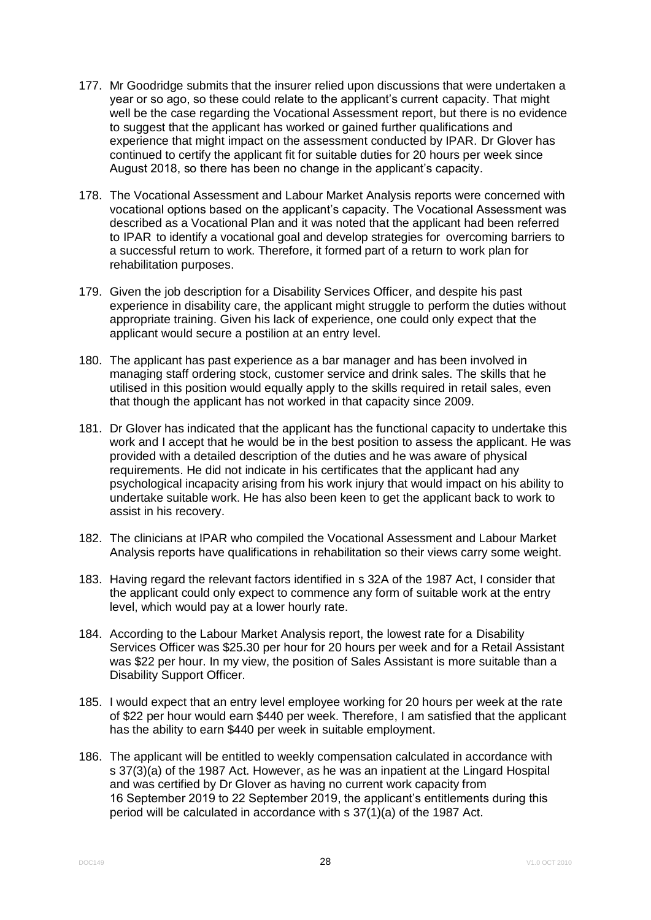- 177. Mr Goodridge submits that the insurer relied upon discussions that were undertaken a year or so ago, so these could relate to the applicant's current capacity. That might well be the case regarding the Vocational Assessment report, but there is no evidence to suggest that the applicant has worked or gained further qualifications and experience that might impact on the assessment conducted by IPAR. Dr Glover has continued to certify the applicant fit for suitable duties for 20 hours per week since August 2018, so there has been no change in the applicant's capacity.
- 178. The Vocational Assessment and Labour Market Analysis reports were concerned with vocational options based on the applicant's capacity. The Vocational Assessment was described as a Vocational Plan and it was noted that the applicant had been referred to IPAR to identify a vocational goal and develop strategies for overcoming barriers to a successful return to work. Therefore, it formed part of a return to work plan for rehabilitation purposes.
- 179. Given the job description for a Disability Services Officer, and despite his past experience in disability care, the applicant might struggle to perform the duties without appropriate training. Given his lack of experience, one could only expect that the applicant would secure a postilion at an entry level.
- 180. The applicant has past experience as a bar manager and has been involved in managing staff ordering stock, customer service and drink sales. The skills that he utilised in this position would equally apply to the skills required in retail sales, even that though the applicant has not worked in that capacity since 2009.
- 181. Dr Glover has indicated that the applicant has the functional capacity to undertake this work and I accept that he would be in the best position to assess the applicant. He was provided with a detailed description of the duties and he was aware of physical requirements. He did not indicate in his certificates that the applicant had any psychological incapacity arising from his work injury that would impact on his ability to undertake suitable work. He has also been keen to get the applicant back to work to assist in his recovery.
- 182. The clinicians at IPAR who compiled the Vocational Assessment and Labour Market Analysis reports have qualifications in rehabilitation so their views carry some weight.
- 183. Having regard the relevant factors identified in s 32A of the 1987 Act, I consider that the applicant could only expect to commence any form of suitable work at the entry level, which would pay at a lower hourly rate.
- 184. According to the Labour Market Analysis report, the lowest rate for a Disability Services Officer was \$25.30 per hour for 20 hours per week and for a Retail Assistant was \$22 per hour. In my view, the position of Sales Assistant is more suitable than a Disability Support Officer.
- 185. I would expect that an entry level employee working for 20 hours per week at the rate of \$22 per hour would earn \$440 per week. Therefore, I am satisfied that the applicant has the ability to earn \$440 per week in suitable employment.
- 186. The applicant will be entitled to weekly compensation calculated in accordance with s 37(3)(a) of the 1987 Act. However, as he was an inpatient at the Lingard Hospital and was certified by Dr Glover as having no current work capacity from 16 September 2019 to 22 September 2019, the applicant's entitlements during this period will be calculated in accordance with s 37(1)(a) of the 1987 Act.